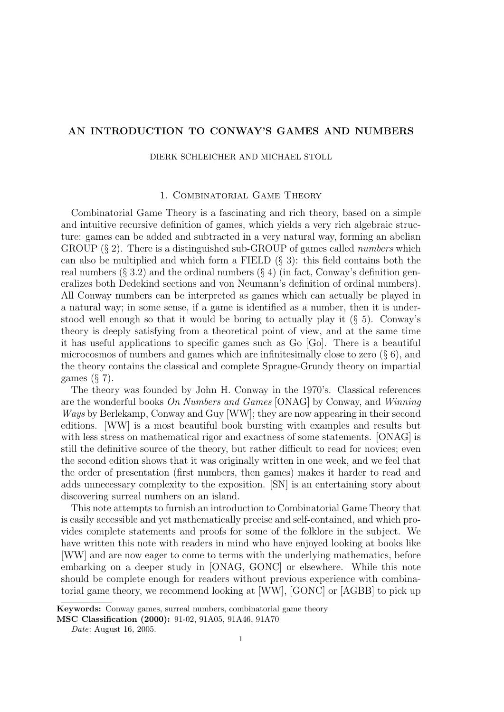## AN INTRODUCTION TO CONWAY'S GAMES AND NUMBERS

DIERK SCHLEICHER AND MICHAEL STOLL

#### 1. Combinatorial Game Theory

Combinatorial Game Theory is a fascinating and rich theory, based on a simple and intuitive recursive definition of games, which yields a very rich algebraic structure: games can be added and subtracted in a very natural way, forming an abelian GROUP  $(\S 2)$ . There is a distinguished sub-GROUP of games called *numbers* which can also be multiplied and which form a FIELD  $(\S$  3): this field contains both the real numbers  $(\S 3.2)$  and the ordinal numbers  $(\S 4)$  (in fact, Conway's definition generalizes both Dedekind sections and von Neumann's definition of ordinal numbers). All Conway numbers can be interpreted as games which can actually be played in a natural way; in some sense, if a game is identified as a number, then it is understood well enough so that it would be boring to actually play it (§ 5). Conway's theory is deeply satisfying from a theoretical point of view, and at the same time it has useful applications to specific games such as Go [Go]. There is a beautiful microcosmos of numbers and games which are infinitesimally close to zero  $(\S 6)$ , and the theory contains the classical and complete Sprague-Grundy theory on impartial games  $(\S 7)$ .

The theory was founded by John H. Conway in the 1970's. Classical references are the wonderful books On Numbers and Games [ONAG] by Conway, and Winning Ways by Berlekamp, Conway and Guy [WW]; they are now appearing in their second editions. [WW] is a most beautiful book bursting with examples and results but with less stress on mathematical rigor and exactness of some statements. [ONAG] is still the definitive source of the theory, but rather difficult to read for novices; even the second edition shows that it was originally written in one week, and we feel that the order of presentation (first numbers, then games) makes it harder to read and adds unnecessary complexity to the exposition. [SN] is an entertaining story about discovering surreal numbers on an island.

This note attempts to furnish an introduction to Combinatorial Game Theory that is easily accessible and yet mathematically precise and self-contained, and which provides complete statements and proofs for some of the folklore in the subject. We have written this note with readers in mind who have enjoyed looking at books like [WW] and are now eager to come to terms with the underlying mathematics, before embarking on a deeper study in [ONAG, GONC] or elsewhere. While this note should be complete enough for readers without previous experience with combinatorial game theory, we recommend looking at [WW], [GONC] or [AGBB] to pick up

Keywords: Conway games, surreal numbers, combinatorial game theory

MSC Classification (2000): 91-02, 91A05, 91A46, 91A70

Date: August 16, 2005.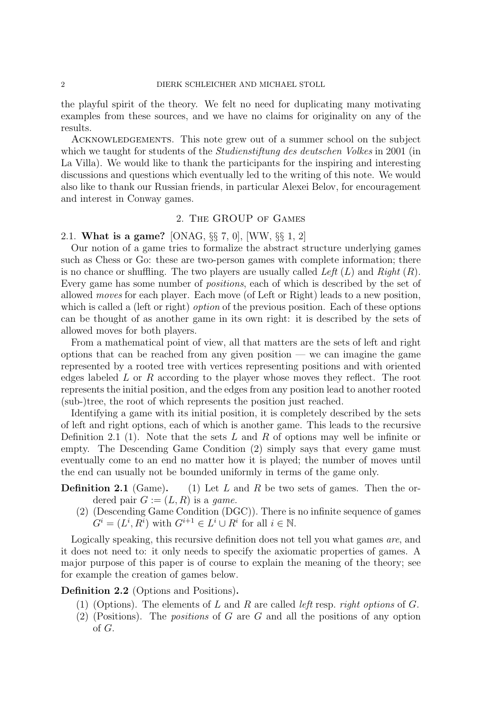the playful spirit of the theory. We felt no need for duplicating many motivating examples from these sources, and we have no claims for originality on any of the results.

Acknowledgements. This note grew out of a summer school on the subject which we taught for students of the *Studienstiftung des deutschen Volkes* in 2001 (in La Villa). We would like to thank the participants for the inspiring and interesting discussions and questions which eventually led to the writing of this note. We would also like to thank our Russian friends, in particular Alexei Belov, for encouragement and interest in Conway games.

### 2. The GROUP of Games

## 2.1. What is a game? [ONAG, §§ 7, 0], [WW, §§ 1, 2]

Our notion of a game tries to formalize the abstract structure underlying games such as Chess or Go: these are two-person games with complete information; there is no chance or shuffling. The two players are usually called Left  $(L)$  and  $Right(R)$ . Every game has some number of positions, each of which is described by the set of allowed moves for each player. Each move (of Left or Right) leads to a new position, which is called a (left or right) *option* of the previous position. Each of these options can be thought of as another game in its own right: it is described by the sets of allowed moves for both players.

From a mathematical point of view, all that matters are the sets of left and right options that can be reached from any given position — we can imagine the game represented by a rooted tree with vertices representing positions and with oriented edges labeled L or R according to the player whose moves they reflect. The root represents the initial position, and the edges from any position lead to another rooted (sub-)tree, the root of which represents the position just reached.

Identifying a game with its initial position, it is completely described by the sets of left and right options, each of which is another game. This leads to the recursive Definition 2.1 (1). Note that the sets  $L$  and  $R$  of options may well be infinite or empty. The Descending Game Condition (2) simply says that every game must eventually come to an end no matter how it is played; the number of moves until the end can usually not be bounded uniformly in terms of the game only.

**Definition 2.1** (Game). (1) Let L and R be two sets of games. Then the ordered pair  $G := (L, R)$  is a *game*.

(2) (Descending Game Condition (DGC)). There is no infinite sequence of games  $G^i = (L^i, R^i)$  with  $G^{i+1} \in L^i \cup R^i$  for all  $i \in \mathbb{N}$ .

Logically speaking, this recursive definition does not tell you what games are, and it does not need to: it only needs to specify the axiomatic properties of games. A major purpose of this paper is of course to explain the meaning of the theory; see for example the creation of games below.

### Definition 2.2 (Options and Positions).

- (1) (Options). The elements of L and R are called *left* resp. *right options* of G.
- $(2)$  (Positions). The *positions* of G are G and all the positions of any option of G.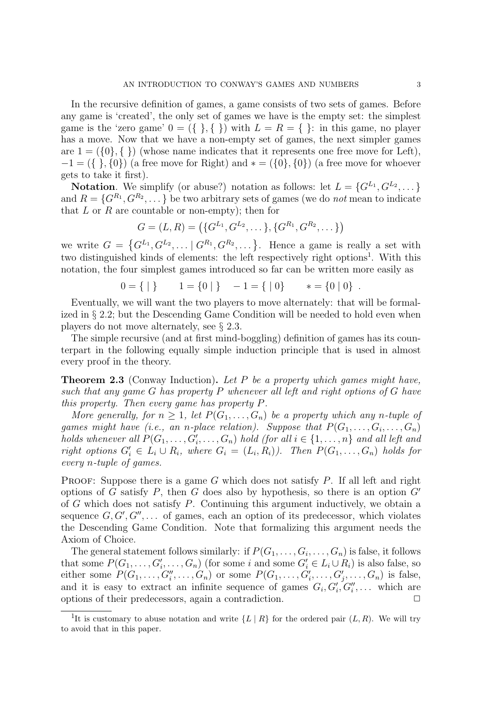In the recursive definition of games, a game consists of two sets of games. Before any game is 'created', the only set of games we have is the empty set: the simplest game is the 'zero game'  $0 = (\{\}, \{\})$  with  $L = R = \{\}\$ : in this game, no player has a move. Now that we have a non-empty set of games, the next simpler games are  $1 = (\{0\}, \{\})$  (whose name indicates that it represents one free move for Left),  $-1 = (\{ \}, \{0\})$  (a free move for Right) and  $* = (\{0\}, \{0\})$  (a free move for whoever gets to take it first).

**Notation**. We simplify (or abuse?) notation as follows: let  $L = \{G^{L_1}, G^{L_2}, \dots\}$ and  $R = \{G^{R_1}, G^{R_2}, \dots\}$  be two arbitrary sets of games (we do *not* mean to indicate that  $L$  or  $R$  are countable or non-empty); then for

$$
G = (L, R) = (\{G^{L_1}, G^{L_2}, \dots\}, \{G^{R_1}, G^{R_2}, \dots\})
$$

we write  $G = \{G^{L_1}, G^{L_2}, \dots | G^{R_1}, G^{R_2}, \dots \}.$  Hence a game is really a set with two distinguished kinds of elements: the left respectively right options<sup>1</sup>. With this notation, the four simplest games introduced so far can be written more easily as

$$
0 = \{ | \} \qquad 1 = \{ 0 | \} \qquad -1 = \{ | \, 0 \} \qquad * = \{ 0 | \, 0 \} \; .
$$

Eventually, we will want the two players to move alternately: that will be formalized in § 2.2; but the Descending Game Condition will be needed to hold even when players do not move alternately, see § 2.3.

The simple recursive (and at first mind-boggling) definition of games has its counterpart in the following equally simple induction principle that is used in almost every proof in the theory.

**Theorem 2.3** (Conway Induction). Let P be a property which games might have, such that any game G has property P whenever all left and right options of G have this property. Then every game has property P.

More generally, for  $n \geq 1$ , let  $P(G_1, \ldots, G_n)$  be a property which any n-tuple of games might have (i.e., an n-place relation). Suppose that  $P(G_1, \ldots, G_i, \ldots, G_n)$ holds whenever all  $P(G_1, \ldots, G_i', \ldots, G_n)$  hold (for all  $i \in \{1, \ldots, n\}$  and all left and right options  $G'_i \in L_i \cup R_i$ , where  $G_i = (L_i, R_i)$ . Then  $P(G_1, \ldots, G_n)$  holds for every n-tuple of games.

**PROOF:** Suppose there is a game G which does not satisfy  $P$ . If all left and right options of G satisfy P, then G does also by hypothesis, so there is an option  $G'$ of G which does not satisfy P. Continuing this argument inductively, we obtain a sequence  $G, G', G'', \ldots$  of games, each an option of its predecessor, which violates the Descending Game Condition. Note that formalizing this argument needs the Axiom of Choice.

The general statement follows similarly: if  $P(G_1, \ldots, G_i, \ldots, G_n)$  is false, it follows that some  $P(G_1, \ldots, G_i', \ldots, G_n)$  (for some i and some  $G_i' \in L_i \cup R_i$ ) is also false, so either some  $P(G_1, \ldots, G_i'', \ldots, G_n)$  or some  $P(G_1, \ldots, G_i', \ldots, G_j', \ldots, G_n)$  is false, and it is easy to extract an infinite sequence of games  $G_i, G'_i, G''_i, \ldots$  which are options of their predecessors, again a contradiction.

<sup>&</sup>lt;sup>1</sup>It is customary to abuse notation and write  $\{L \mid R\}$  for the ordered pair  $(L, R)$ . We will try to avoid that in this paper.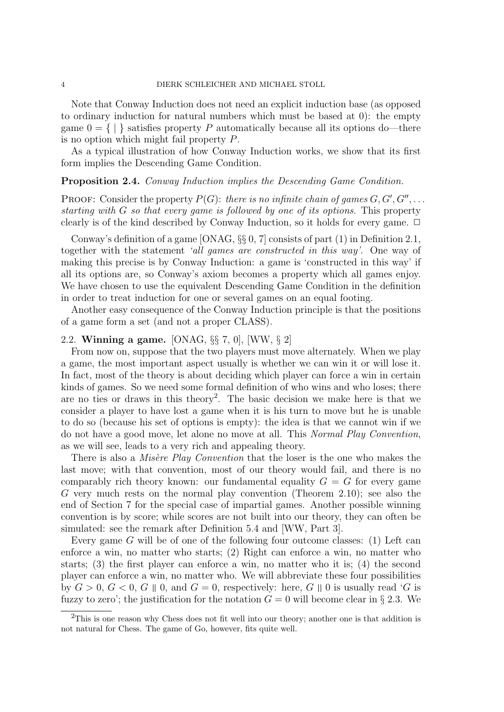Note that Conway Induction does not need an explicit induction base (as opposed to ordinary induction for natural numbers which must be based at 0): the empty game  $0 = \{ | \}$  satisfies property P automatically because all its options do—there is no option which might fail property P.

As a typical illustration of how Conway Induction works, we show that its first form implies the Descending Game Condition.

### Proposition 2.4. Conway Induction implies the Descending Game Condition.

PROOF: Consider the property  $P(G)$ : there is no infinite chain of games  $G, G', G'', \ldots$ starting with  $G$  so that every game is followed by one of its options. This property clearly is of the kind described by Conway Induction, so it holds for every game.  $\Box$ 

Conway's definition of a game [ONAG,  $\S\S 0$ , 7] consists of part (1) in Definition 2.1, together with the statement 'all games are constructed in this way'. One way of making this precise is by Conway Induction: a game is 'constructed in this way' if all its options are, so Conway's axiom becomes a property which all games enjoy. We have chosen to use the equivalent Descending Game Condition in the definition in order to treat induction for one or several games on an equal footing.

Another easy consequence of the Conway Induction principle is that the positions of a game form a set (and not a proper CLASS).

### 2.2. Winning a game. [ONAG, §§ 7, 0], [WW, § 2]

From now on, suppose that the two players must move alternately. When we play a game, the most important aspect usually is whether we can win it or will lose it. In fact, most of the theory is about deciding which player can force a win in certain kinds of games. So we need some formal definition of who wins and who loses; there are no ties or draws in this theory<sup>2</sup>. The basic decision we make here is that we consider a player to have lost a game when it is his turn to move but he is unable to do so (because his set of options is empty): the idea is that we cannot win if we do not have a good move, let alone no move at all. This Normal Play Convention, as we will see, leads to a very rich and appealing theory.

There is also a *Misère Play Convention* that the loser is the one who makes the last move; with that convention, most of our theory would fail, and there is no comparably rich theory known: our fundamental equality  $G = G$  for every game G very much rests on the normal play convention (Theorem 2.10); see also the end of Section 7 for the special case of impartial games. Another possible winning convention is by score; while scores are not built into our theory, they can often be simulated: see the remark after Definition 5.4 and [WW, Part 3].

Every game G will be of one of the following four outcome classes: (1) Left can enforce a win, no matter who starts; (2) Right can enforce a win, no matter who starts; (3) the first player can enforce a win, no matter who it is; (4) the second player can enforce a win, no matter who. We will abbreviate these four possibilities by  $G > 0$ ,  $G < 0$ ,  $G \parallel 0$ , and  $G = 0$ , respectively: here,  $G \parallel 0$  is usually read 'G is fuzzy to zero'; the justification for the notation  $G = 0$  will become clear in § 2.3. We

<sup>&</sup>lt;sup>2</sup>This is one reason why Chess does not fit well into our theory; another one is that addition is not natural for Chess. The game of Go, however, fits quite well.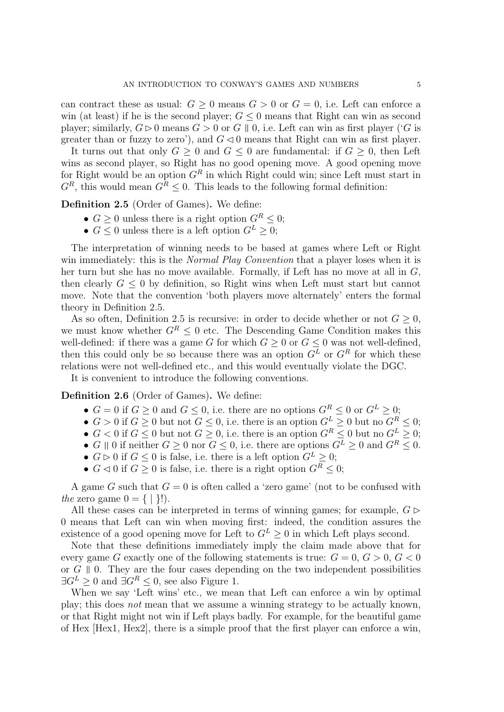can contract these as usual:  $G \geq 0$  means  $G > 0$  or  $G = 0$ , i.e. Left can enforce a win (at least) if he is the second player;  $G \leq 0$  means that Right can win as second player; similarly,  $G \triangleright 0$  means  $G > 0$  or G || 0, i.e. Left can win as first player ('G is greater than or fuzzy to zero'), and  $G \triangleleft 0$  means that Right can win as first player.

It turns out that only  $G \geq 0$  and  $G \leq 0$  are fundamental: if  $G \geq 0$ , then Left wins as second player, so Right has no good opening move. A good opening move for Right would be an option  $G<sup>R</sup>$  in which Right could win; since Left must start in  $G^R$ , this would mean  $G^R$  < 0. This leads to the following formal definition:

Definition 2.5 (Order of Games). We define:

- $G \geq 0$  unless there is a right option  $G^R \leq 0$ ;
- $G \leq 0$  unless there is a left option  $G^L \geq 0$ ;

The interpretation of winning needs to be based at games where Left or Right win immediately: this is the *Normal Play Convention* that a player loses when it is her turn but she has no move available. Formally, if Left has no move at all in G, then clearly  $G \leq 0$  by definition, so Right wins when Left must start but cannot move. Note that the convention 'both players move alternately' enters the formal theory in Definition 2.5.

As so often, Definition 2.5 is recursive: in order to decide whether or not  $G \geq 0$ , we must know whether  $G^R \leq 0$  etc. The Descending Game Condition makes this well-defined: if there was a game G for which  $G \geq 0$  or  $G \leq 0$  was not well-defined, then this could only be so because there was an option  $G<sup>L</sup>$  or  $G<sup>R</sup>$  for which these relations were not well-defined etc., and this would eventually violate the DGC.

It is convenient to introduce the following conventions.

Definition 2.6 (Order of Games). We define:

- $G = 0$  if  $G \geq 0$  and  $G \leq 0$ , i.e. there are no options  $G^R \leq 0$  or  $G^L \geq 0$ ;
- $G > 0$  if  $G \geq 0$  but not  $G \leq 0$ , i.e. there is an option  $G^L \geq 0$  but no  $G^R \leq 0$ ;
- $G < 0$  if  $G \le 0$  but not  $G \ge 0$ , i.e. there is an option  $G^R \le 0$  but no  $G^L \ge 0$ ;
- G || 0 if neither  $G \ge 0$  nor  $G \le 0$ , i.e. there are options  $G^L \ge 0$  and  $G^R \le 0$ .
- $G \triangleright 0$  if  $G \leq 0$  is false, i.e. there is a left option  $G^L \geq 0$ ;
- $G \triangleleft 0$  if  $G \geq 0$  is false, i.e. there is a right option  $G^R \leq 0$ ;

A game G such that  $G = 0$  is often called a 'zero game' (not to be confused with the zero game  $0 = \{ | \}!$ .

All these cases can be interpreted in terms of winning games; for example,  $G \triangleright$ 0 means that Left can win when moving first: indeed, the condition assures the existence of a good opening move for Left to  $G<sup>L</sup> \geq 0$  in which Left plays second.

Note that these definitions immediately imply the claim made above that for every game G exactly one of the following statements is true:  $G = 0, G > 0, G < 0$ or  $G \parallel 0$ . They are the four cases depending on the two independent possibilities  $\exists G^L \geq 0$  and  $\exists G^R \leq 0$ , see also Figure 1.

When we say 'Left wins' etc., we mean that Left can enforce a win by optimal play; this does not mean that we assume a winning strategy to be actually known, or that Right might not win if Left plays badly. For example, for the beautiful game of Hex [Hex1, Hex2], there is a simple proof that the first player can enforce a win,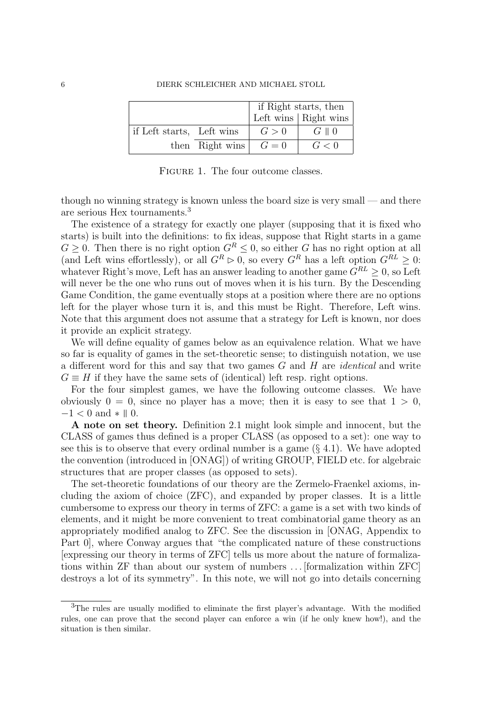|                           |                         | if Right starts, then |                              |
|---------------------------|-------------------------|-----------------------|------------------------------|
|                           |                         |                       | Left wins $\vert$ Right wins |
| if Left starts, Left wins |                         | G>0                   | $G \parallel 0$              |
|                           | then Right wins $G = 0$ |                       | G<0                          |

FIGURE 1. The four outcome classes.

though no winning strategy is known unless the board size is very small — and there are serious Hex tournaments.<sup>3</sup>

The existence of a strategy for exactly one player (supposing that it is fixed who starts) is built into the definitions: to fix ideas, suppose that Right starts in a game  $G \geq 0$ . Then there is no right option  $G^R \leq 0$ , so either G has no right option at all (and Left wins effortlessly), or all  $G^R \triangleright 0$ , so every  $G^R$  has a left option  $G^{RL} \geq 0$ : whatever Right's move, Left has an answer leading to another game  $\overline{G}^{RL} \geq 0$ , so Left will never be the one who runs out of moves when it is his turn. By the Descending Game Condition, the game eventually stops at a position where there are no options left for the player whose turn it is, and this must be Right. Therefore, Left wins. Note that this argument does not assume that a strategy for Left is known, nor does it provide an explicit strategy.

We will define equality of games below as an equivalence relation. What we have so far is equality of games in the set-theoretic sense; to distinguish notation, we use a different word for this and say that two games G and H are identical and write  $G \equiv H$  if they have the same sets of (identical) left resp. right options.

For the four simplest games, we have the following outcome classes. We have obviously  $0 = 0$ , since no player has a move; then it is easy to see that  $1 > 0$ ,  $-1 < 0$  and  $* \parallel 0$ .

A note on set theory. Definition 2.1 might look simple and innocent, but the CLASS of games thus defined is a proper CLASS (as opposed to a set): one way to see this is to observe that every ordinal number is a game  $(\S 4.1)$ . We have adopted the convention (introduced in [ONAG]) of writing GROUP, FIELD etc. for algebraic structures that are proper classes (as opposed to sets).

The set-theoretic foundations of our theory are the Zermelo-Fraenkel axioms, including the axiom of choice (ZFC), and expanded by proper classes. It is a little cumbersome to express our theory in terms of ZFC: a game is a set with two kinds of elements, and it might be more convenient to treat combinatorial game theory as an appropriately modified analog to ZFC. See the discussion in [ONAG, Appendix to Part 0], where Conway argues that "the complicated nature of these constructions [expressing our theory in terms of ZFC] tells us more about the nature of formalizations within ZF than about our system of numbers . . . [formalization within ZFC] destroys a lot of its symmetry". In this note, we will not go into details concerning

<sup>3</sup>The rules are usually modified to eliminate the first player's advantage. With the modified rules, one can prove that the second player can enforce a win (if he only knew how!), and the situation is then similar.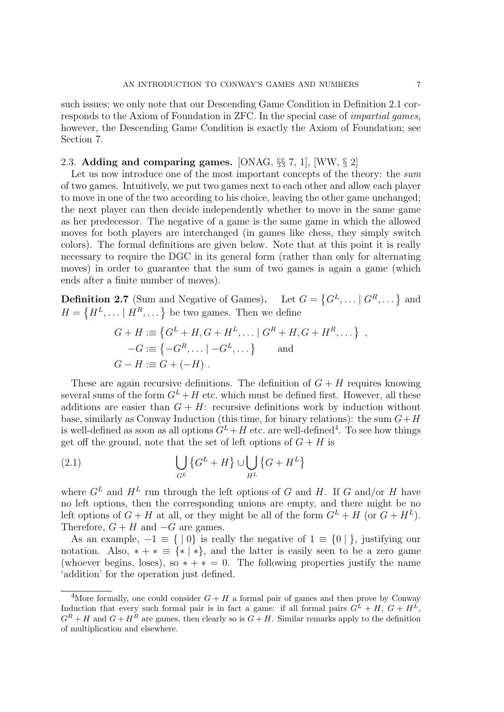such issues; we only note that our Descending Game Condition in Definition 2.1 corresponds to the Axiom of Foundation in ZFC. In the special case of impartial games, however, the Descending Game Condition is exactly the Axiom of Foundation; see Section 7.

## 2.3. Adding and comparing games. [ONAG, §§ 7, 1], [WW, § 2]

Let us now introduce one of the most important concepts of the theory: the sum of two games. Intuitively, we put two games next to each other and allow each player to move in one of the two according to his choice, leaving the other game unchanged; the next player can then decide independently whether to move in the same game as her predecessor. The negative of a game is the same game in which the allowed moves for both players are interchanged (in games like chess, they simply switch colors). The formal definitions are given below. Note that at this point it is really necessary to require the DGC in its general form (rather than only for alternating moves) in order to guarantee that the sum of two games is again a game (which ends after a finite number of moves).

**Definition 2.7** (Sum and Negative of Games). Let  $G = \{G^L, \dots | G^R, \dots\}$  and  $H = \{H^L, \dots | H^R, \dots \}$  be two games. Then we define

$$
G + H := \{ G^{L} + H, G + H^{L}, \dots | G^{R} + H, G + H^{R}, \dots \},
$$
  
\n
$$
-G := \{ -G^{R}, \dots | -G^{L}, \dots \}
$$
 and  
\n
$$
G - H := G + (-H) .
$$

These are again recursive definitions. The definition of  $G + H$  requires knowing several sums of the form  $G^L + H$  etc. which must be defined first. However, all these additions are easier than  $G + H$ : recursive definitions work by induction without base, similarly as Conway Induction (this time, for binary relations): the sum  $G+H$ is well-defined as soon as all options  $G^L + H$  etc. are well-defined<sup>4</sup>. To see how things get off the ground, note that the set of left options of  $G + H$  is

(2.1) 
$$
\bigcup_{G^L} \left\{ G^L + H \right\} \cup \bigcup_{H^L} \left\{ G + H^L \right\}
$$

where  $G^L$  and  $H^L$  run through the left options of G and H. If G and/or H have no left options, then the corresponding unions are empty, and there might be no left options of  $G + H$  at all, or they might be all of the form  $G^L + H$  (or  $G + H^L$ ). Therefore,  $G + H$  and  $-G$  are games.

As an example,  $-1 \equiv \{ | 0 \}$  is really the negative of  $1 \equiv \{ 0 | \}$ , justifying our notation. Also,  $* + * \equiv \{ * | * \}$ , and the latter is easily seen to be a zero game (whoever begins, loses), so  $* + * = 0$ . The following properties justify the name 'addition' for the operation just defined.

<sup>&</sup>lt;sup>4</sup>More formally, one could consider  $G + H$  a formal pair of games and then prove by Conway Induction that every such formal pair is in fact a game: if all formal pairs  $G^L + H$ ,  $G + H^L$ ,  $G^R + H$  and  $G + H^R$  are games, then clearly so is  $G + H$ . Similar remarks apply to the definition of multiplication and elsewhere.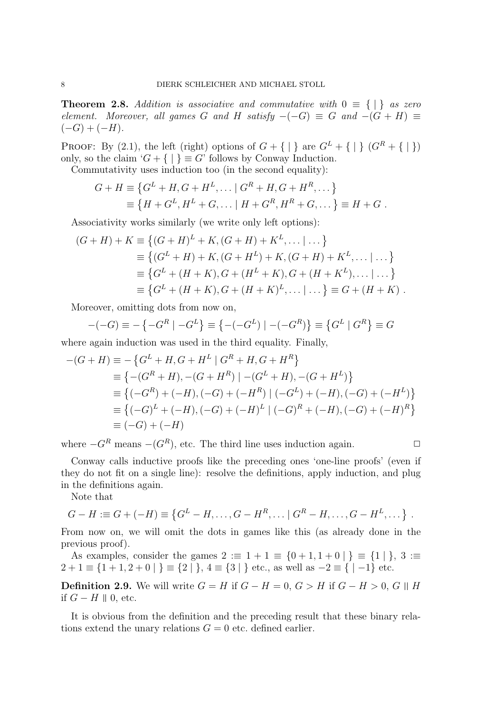**Theorem 2.8.** Addition is associative and commutative with  $0 \equiv \{ | \}$  as zero element. Moreover, all games G and H satisfy  $-(-G) \equiv G$  and  $-(G + H) \equiv$  $(-G) + (-H)$ .

PROOF: By (2.1), the left (right) options of  $G + \{ | \}$  are  $G^L + \{ | \}$   $(G^R + \{ | \})$ only, so the claim ' $G + \{ | \} \equiv G'$  follows by Conway Induction.

Commutativity uses induction too (in the second equality):

 $\mathbf{L}$ 

$$
G + H \equiv \{G^{L} + H, G + H^{L}, \dots | G^{R} + H, G + H^{R}, \dots \}
$$
  

$$
\equiv \{H + G^{L}, H^{L} + G, \dots | H + G^{R}, H^{R} + G, \dots \} \equiv H + G.
$$

Associativity works similarly (we write only left options):

$$
(G+H) + K \equiv \{(G+H)^L + K, (G+H) + K^L, \dots | \dots \}
$$
  
\n
$$
\equiv \{(G^L + H) + K, (G+H^L) + K, (G+H) + K^L, \dots | \dots \}
$$
  
\n
$$
\equiv \{G^L + (H+K), G + (H^L + K), G + (H+K^L), \dots | \dots \}
$$
  
\n
$$
\equiv \{G^L + (H+K), G + (H+K)^L, \dots | \dots \} \equiv G + (H+K) .
$$

Moreover, omitting dots from now on,

$$
-(-G) \equiv -\left\{-G^R \mid -G^L\right\} \equiv \left\{-(-G^L) \mid -(-G^R)\right\} \equiv \left\{G^L \mid G^R\right\} \equiv G
$$

where again induction was used in the third equality. Finally,

$$
-(G+H) \equiv -\{G^{L} + H, G + H^{L} | G^{R} + H, G + H^{R}\}\
$$
  
\n
$$
\equiv \{-(G^{R} + H), -(G + H^{R}) | -(G^{L} + H), -(G + H^{L})\}\
$$
  
\n
$$
\equiv \{(-G^{R}) + (-H), (-G) + (-H^{R}) | (-G^{L}) + (-H), (-G) + (-H^{L})\}\
$$
  
\n
$$
\equiv \{(-G)^{L} + (-H), (-G) + (-H)^{L} | (-G)^{R} + (-H), (-G) + (-H)^{R}\}\
$$
  
\n
$$
\equiv (-G) + (-H)
$$

where  $-G<sup>R</sup>$  means  $-(G<sup>R</sup>)$ , etc. The third line uses induction again.

$$
\qquad \qquad \Box
$$

Conway calls inductive proofs like the preceding ones 'one-line proofs' (even if they do not fit on a single line): resolve the definitions, apply induction, and plug in the definitions again.

Note that

$$
G - H := G + (-H) \equiv \{G^L - H, \dots, G - H^R, \dots | G^R - H, \dots, G - H^L, \dots \}.
$$

From now on, we will omit the dots in games like this (as already done in the previous proof).

As examples, consider the games  $2 := 1 + 1 = \{0 + 1, 1 + 0\} \equiv \{1\}$ ,  $3 :=$  $2 + 1 \equiv \{1 + 1, 2 + 0 \mid \} \equiv \{2 \mid \}, 4 \equiv \{3 \mid \}$  etc., as well as  $-2 \equiv \{ \mid -1 \}$  etc.

**Definition 2.9.** We will write  $G = H$  if  $G - H = 0$ ,  $G > H$  if  $G - H > 0$ ,  $G \parallel H$ if  $G − H \parallel 0$ , etc.

It is obvious from the definition and the preceding result that these binary relations extend the unary relations  $G = 0$  etc. defined earlier.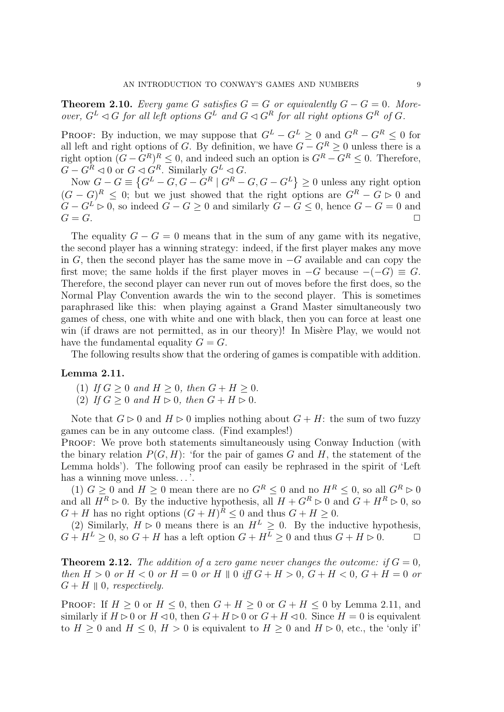**Theorem 2.10.** Every game G satisfies  $G = G$  or equivalently  $G - G = 0$ . Moreover,  $G^L \triangleleft G$  for all left options  $G^L$  and  $G \triangleleft G^R$  for all right options  $G^R$  of  $G$ .

PROOF: By induction, we may suppose that  $G^L - G^L \geq 0$  and  $G^R - G^R \leq 0$  for all left and right options of G. By definition, we have  $G - G^R \geq 0$  unless there is a right option  $(G - G^R)^R \leq 0$ , and indeed such an option is  $G^R - G^R \leq 0$ . Therefore,  $G - G^R \lhd 0$  or  $G \lhd G^R$ . Similarly  $G^L \lhd G$ .

Now  $G - G \equiv \{G^L - G, G - G^R \mid G^R - G, G - G^L\} \ge 0$  unless any right option  $(G - G)^R \leq 0$ ; but we just showed that the right options are  $G^R - G \geq 0$  and  $G - G^L \triangleright 0$ , so indeed  $G - G \ge 0$  and similarly  $G - G \le 0$ , hence  $G - G = 0$  and  $G = G$ .  $G = G$ .

The equality  $G - G = 0$  means that in the sum of any game with its negative, the second player has a winning strategy: indeed, if the first player makes any move in G, then the second player has the same move in  $-G$  available and can copy the first move; the same holds if the first player moves in  $-G$  because  $-(-G) \equiv G$ . Therefore, the second player can never run out of moves before the first does, so the Normal Play Convention awards the win to the second player. This is sometimes paraphrased like this: when playing against a Grand Master simultaneously two games of chess, one with white and one with black, then you can force at least one win (if draws are not permitted, as in our theory)! In Misère Play, we would not have the fundamental equality  $G = G$ .

The following results show that the ordering of games is compatible with addition.

### Lemma 2.11.

(1) If  $G \geq 0$  and  $H \geq 0$ , then  $G + H \geq 0$ .

(2) If  $G \geq 0$  and  $H \rhd 0$ , then  $G + H \rhd 0$ .

Note that  $G \triangleright 0$  and  $H \triangleright 0$  implies nothing about  $G + H$ : the sum of two fuzzy games can be in any outcome class. (Find examples!)

PROOF: We prove both statements simultaneously using Conway Induction (with the binary relation  $P(G, H)$ : 'for the pair of games G and H, the statement of the Lemma holds'). The following proof can easily be rephrased in the spirit of 'Left has a winning move unless...'.

(1)  $G \geq 0$  and  $H \geq 0$  mean there are no  $G^R \leq 0$  and no  $H^R \leq 0$ , so all  $G^R \triangleright 0$ and all  $H^R \triangleright 0$ . By the inductive hypothesis, all  $H + G^R \triangleright 0$  and  $G + H^R \triangleright 0$ , so  $G + H$  has no right options  $(G + H)^R \leq 0$  and thus  $G + H \geq 0$ .

(2) Similarly,  $H \triangleright 0$  means there is an  $H^L \geq 0$ . By the inductive hypothesis,  $G + H^L \geq 0$ , so  $G + H$  has a left option  $G + H^L \geq 0$  and thus  $G + H \geq 0$ .

**Theorem 2.12.** The addition of a zero game never changes the outcome: if  $G = 0$ , then  $H > 0$  or  $H < 0$  or  $H = 0$  or  $H \parallel 0$  iff  $G + H > 0$ ,  $G + H < 0$ ,  $G + H = 0$  or  $G + H \parallel 0$ , respectively.

PROOF: If  $H \geq 0$  or  $H \leq 0$ , then  $G + H \geq 0$  or  $G + H \leq 0$  by Lemma 2.11, and similarly if  $H \triangleright 0$  or  $H \triangleleft 0$ , then  $G + H \triangleright 0$  or  $G + H \triangleleft 0$ . Since  $H = 0$  is equivalent to  $H > 0$  and  $H < 0$ ,  $H > 0$  is equivalent to  $H > 0$  and  $H \rhd 0$ , etc., the 'only if'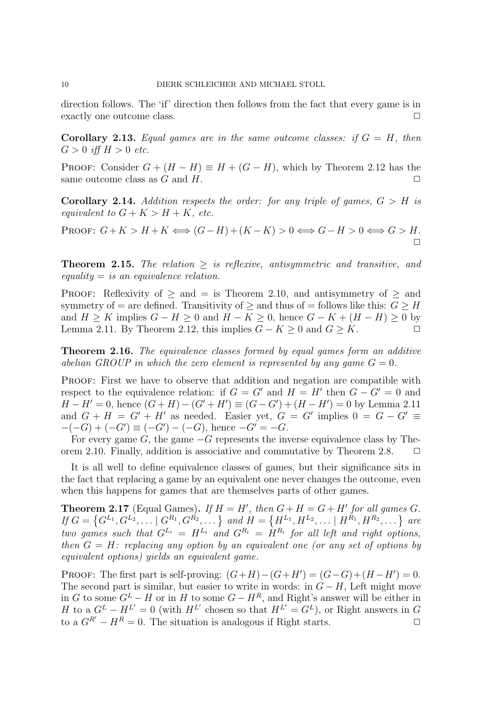direction follows. The 'if' direction then follows from the fact that every game is in exactly one outcome class.

**Corollary 2.13.** Equal games are in the same outcome classes: if  $G = H$ , then  $G > 0$  iff  $H > 0$  etc.

PROOF: Consider  $G + (H - H) \equiv H + (G - H)$ , which by Theorem 2.12 has the same outcome class as G and H.  $\Box$ 

**Corollary 2.14.** Addition respects the order: for any triple of games,  $G > H$  is equivalent to  $G + K > H + K$ , etc.

PROOF:  $G+K > H+K \Longleftrightarrow (G-H)+(K-K) > 0 \Longleftrightarrow G-H > 0 \Longleftrightarrow G > H.$  $\Box$ 

**Theorem 2.15.** The relation  $>$  is reflexive, antisymmetric and transitive, and  $equality = is an equivalence relation.$ 

PROOF: Reflexivity of  $\geq$  and  $=$  is Theorem 2.10, and antisymmetry of  $\geq$  and symmetry of = are defined. Transitivity of  $\geq$  and thus of = follows like this:  $G \geq H$ and  $H \geq K$  implies  $G - H \geq 0$  and  $H - K \geq 0$ , hence  $G - K + (H - H) \geq 0$  by Lemma 2.11. By Theorem 2.12, this implies  $G - K \geq 0$  and  $G \geq K$ .

**Theorem 2.16.** The equivalence classes formed by equal games form an additive abelian GROUP in which the zero element is represented by any game  $G = 0$ .

PROOF: First we have to observe that addition and negation are compatible with respect to the equivalence relation: if  $G = G'$  and  $H = H'$  then  $G - G' = 0$  and  $H - H' = 0$ , hence  $(G + H) - (G' + H') \equiv (G - G') + (H - H') = 0$  by Lemma 2.11 and  $G + H = G' + H'$  as needed. Easier yet,  $G = G'$  implies  $0 = G - G' \equiv$  $-(-G) + (-G') \equiv (-G') - (-G)$ , hence  $-G' = -G$ .

For every game  $G$ , the game  $-G$  represents the inverse equivalence class by Theorem 2.10. Finally, addition is associative and commutative by Theorem 2.8.  $\Box$ 

It is all well to define equivalence classes of games, but their significance sits in the fact that replacing a game by an equivalent one never changes the outcome, even when this happens for games that are themselves parts of other games.

**Theorem 2.17** (Equal Games). If  $H = H'$ , then  $G + H = G + H'$  for all games G. If  $G = \{G^{L_1}, G^{L_2}, \dots | G^{R_1}, G^{R_2}, \dots \}$  and  $H = \{H^{L_1}, H^{L_2}, \dots | H^{R_1}, H^{R_2}, \dots \}$  are two games such that  $G^{L_i} = H^{L_i}$  and  $G^{R_i} = H^{R_i}$  for all left and right options, then  $G = H$ : replacing any option by an equivalent one (or any set of options by equivalent options) yields an equivalent game.

PROOF: The first part is self-proving:  $(G+H)-(G+H')=(G-G)+(H-H')=0$ . The second part is similar, but easier to write in words: in  $G - H$ , Left might move in G to some  $G^L - H$  or in H to some  $G - H^R$ , and Right's answer will be either in H to a  $G^L - H^{L'} = 0$  (with  $H^{L'}$  chosen so that  $H^{L'} = G^L$ ), or Right answers in G to a  $G^{R'} - H^R = 0$ . The situation is analogous if Right starts.  $\Box$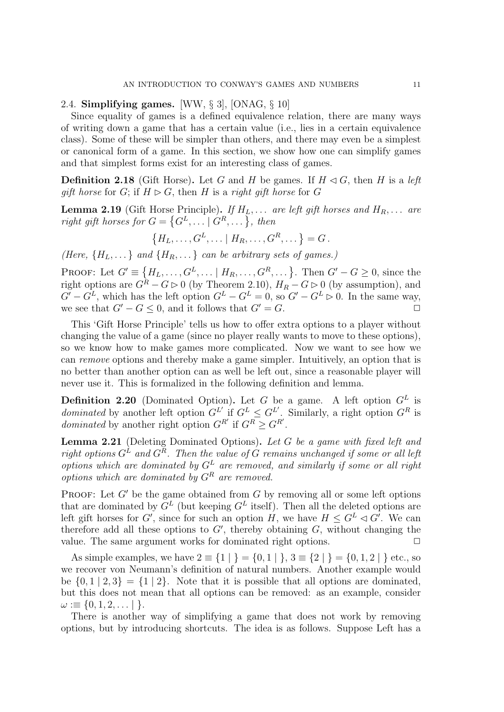### 2.4. Simplifying games. [WW, § 3], [ONAG, § 10]

Since equality of games is a defined equivalence relation, there are many ways of writing down a game that has a certain value (i.e., lies in a certain equivalence class). Some of these will be simpler than others, and there may even be a simplest or canonical form of a game. In this section, we show how one can simplify games and that simplest forms exist for an interesting class of games.

**Definition 2.18** (Gift Horse). Let G and H be games. If  $H \triangleleft G$ , then H is a left gift horse for G; if  $H \triangleright G$ , then H is a right gift horse for G

**Lemma 2.19** (Gift Horse Principle). If  $H_L, \ldots$  are left gift horses and  $H_R, \ldots$  are right gift horses for  $G = \{G^L, \dots | G^R, \dots\}$ , then

$$
\{H_L, \ldots, G^L, \ldots \mid H_R, \ldots, G^R, \ldots\} = G.
$$

(Here,  ${H_L, \ldots}$  and  ${H_R, \ldots}$  can be arbitrary sets of games.)

PROOF: Let  $G' \equiv \{H_L, \ldots, G^L, \ldots \mid H_R, \ldots, G^R, \ldots\}$ . Then  $G' - G \geq 0$ , since the right options are  $G^R - G \triangleright 0$  (by Theorem 2.10),  $H_R - G \triangleright 0$  (by assumption), and  $G' - G^L$ , which has the left option  $G^L - G^L = 0$ , so  $G' - G^L \triangleright 0$ . In the same way, we see that  $G' - G \leq 0$ , and it follows that  $G' = G$ .

This 'Gift Horse Principle' tells us how to offer extra options to a player without changing the value of a game (since no player really wants to move to these options), so we know how to make games more complicated. Now we want to see how we can remove options and thereby make a game simpler. Intuitively, an option that is no better than another option can as well be left out, since a reasonable player will never use it. This is formalized in the following definition and lemma.

**Definition 2.20** (Dominated Option). Let G be a game. A left option  $G<sup>L</sup>$  is *dominated* by another left option  $G^L$  if  $G^L \nleq G^L$ . Similarly, a right option  $G^R$  is *dominated* by another right option  $G^{R'}$  if  $G^R \geq G^{R'}$ .

Lemma 2.21 (Deleting Dominated Options). Let G be a game with fixed left and right options  $G^{\tilde{L}}$  and  $G^{\tilde{R}}$ . Then the value of  $G$  remains unchanged if some or all left  $options$  which are dominated by  $G<sup>L</sup>$  are removed, and similarly if some or all right options which are dominated by  $G<sup>R</sup>$  are removed.

PROOF: Let  $G'$  be the game obtained from  $G$  by removing all or some left options that are dominated by  $G^L$  (but keeping  $G^L$  itself). Then all the deleted options are left gift horses for G', since for such an option H, we have  $H \leq G^L \lhd G'$ . We can therefore add all these options to  $G'$ , thereby obtaining  $G$ , without changing the value. The same argument works for dominated right options.  $\Box$ 

As simple examples, we have  $2 \equiv \{1 | \} = \{0, 1 | \}$ ,  $3 \equiv \{2 | \} = \{0, 1, 2 | \}$  etc., so we recover von Neumann's definition of natural numbers. Another example would be  $\{0, 1 \mid 2, 3\} = \{1 \mid 2\}$ . Note that it is possible that all options are dominated, but this does not mean that all options can be removed: as an example, consider  $\omega := \{0, 1, 2, \dots \}$ .

There is another way of simplifying a game that does not work by removing options, but by introducing shortcuts. The idea is as follows. Suppose Left has a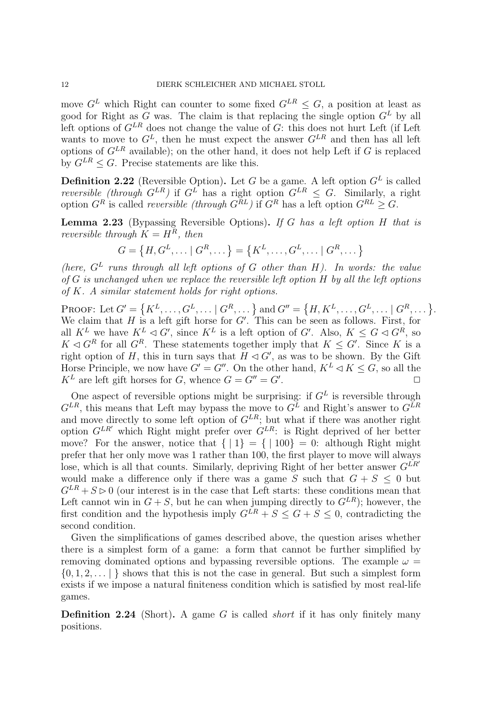move  $G<sup>L</sup>$  which Right can counter to some fixed  $G<sup>LR</sup> < G$ , a position at least as good for Right as G was. The claim is that replacing the single option  $G<sup>L</sup>$  by all left options of  $G^{LR}$  does not change the value of  $G$ : this does not hurt Left (if Left wants to move to  $G^L$ , then he must expect the answer  $G^{LR}$  and then has all left options of  $G^{LR}$  available); on the other hand, it does not help Left if G is replaced by  $G^{LR} \leq G$ . Precise statements are like this.

**Definition 2.22** (Reversible Option). Let G be a game. A left option  $G<sup>L</sup>$  is called *reversible (through G*<sup>LR</sup>) if  $G<sup>L</sup>$  has a right option  $G<sup>L</sup>$ <sup>Z</sup>  $\leq$  G. Similarly, a right option  $G^R$  is called *reversible (through*  $G^{RL}$ ) if  $G^R$  has a left option  $G^{RL} \geq G$ .

**Lemma 2.23** (Bypassing Reversible Options). If G has a left option  $H$  that is reversible through  $K = H^R$ , then

$$
G = \{H, G^L, \dots | G^R, \dots\} = \{K^L, \dots, G^L, \dots | G^R, \dots\}
$$

(here,  $G<sup>L</sup>$  runs through all left options of G other than H). In words: the value of G is unchanged when we replace the reversible left option H by all the left options of K. A similar statement holds for right options.

PROOF: Let  $G' = \{K^L, ..., G^L, ...\mid G^R, ...\}$  and  $G'' = \{H, K^L, ..., G^L, ...\mid G^R, ...\}$ . We claim that  $H$  is a left gift horse for  $G'$ . This can be seen as follows. First, for all  $K^L$  we have  $K^L \lhd G'$ , since  $K^L$  is a left option of G'. Also,  $K \leq G \lhd G^R$ , so  $K \triangleleft G^R$  for all  $G^R$ . These statements together imply that  $K \leq G'$ . Since K is a right option of H, this in turn says that  $H \lhd G'$ , as was to be shown. By the Gift Horse Principle, we now have  $G' = G''$ . On the other hand,  $K^L \lhd K \lhd G$ , so all the  $K^L$  are left gift horses for G, whence  $G = G'' = G'$ . .  $\Box$ 

One aspect of reversible options might be surprising: if  $G<sup>L</sup>$  is reversible through  $G^{LR}$ , this means that Left may bypass the move to  $G^L$  and Right's answer to  $G^{LR}$ and move directly to some left option of  $G^{LR}$ ; but what if there was another right option  $G^{LR'}$  which Right might prefer over  $G^{LR}$ : is Right deprived of her better move? For the answer, notice that  $\{ | 1 \} = \{ | 100 \} = 0$ : although Right might prefer that her only move was 1 rather than 100, the first player to move will always lose, which is all that counts. Similarly, depriving Right of her better answer  $G^{LR'}$ would make a difference only if there was a game S such that  $G + S \leq 0$  but  $G^{LR}$  +  $S > 0$  (our interest is in the case that Left starts: these conditions mean that Left cannot win in  $G + S$ , but he can when jumping directly to  $G^{LR}$ ; however, the first condition and the hypothesis imply  $G<sup>LR</sup> + S < G + S < 0$ , contradicting the second condition.

Given the simplifications of games described above, the question arises whether there is a simplest form of a game: a form that cannot be further simplified by removing dominated options and bypassing reversible options. The example  $\omega =$  $\{0, 1, 2, \ldots\}$  shows that this is not the case in general. But such a simplest form exists if we impose a natural finiteness condition which is satisfied by most real-life games.

**Definition 2.24** (Short). A game G is called *short* if it has only finitely many positions.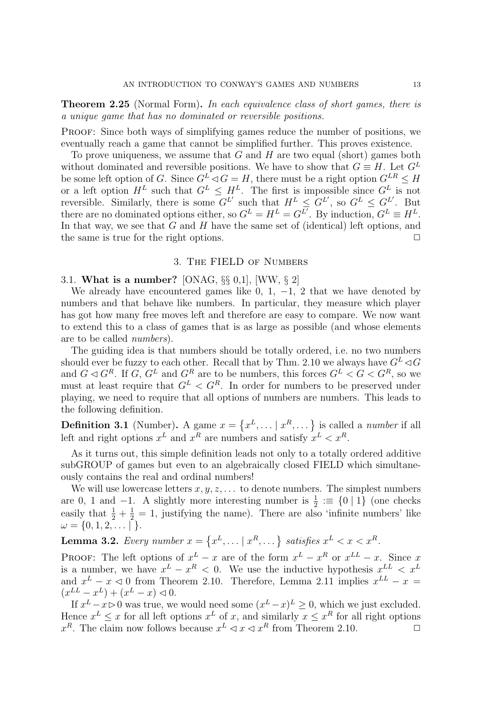Theorem 2.25 (Normal Form). In each equivalence class of short games, there is a unique game that has no dominated or reversible positions.

Proof: Since both ways of simplifying games reduce the number of positions, we eventually reach a game that cannot be simplified further. This proves existence.

To prove uniqueness, we assume that  $G$  and  $H$  are two equal (short) games both without dominated and reversible positions. We have to show that  $G \equiv H$ . Let  $G^L$ be some left option of G. Since  $G^L \triangleleft G = H$ , there must be a right option  $G^{LR} \leq H$ or a left option  $H^L$  such that  $G^L \n\leq H^L$ . The first is impossible since  $G^L$  is not reversible. Similarly, there is some  $G^L$  such that  $H^L \leq G^{L'}$ , so  $G^L \leq G^{L'}$ . But there are no dominated options either, so  $G^L = H^L = G^{L'}$ . By induction,  $G^L \equiv H^L$ . In that way, we see that  $G$  and  $H$  have the same set of (identical) left options, and the same is true for the right options.  $\Box$ 

#### 3. The FIELD of Numbers

# 3.1. What is a number? [ONAG,  $\S\S 0,1$ ], [WW,  $\S 2$ ]

We already have encountered games like 0, 1,  $-1$ , 2 that we have denoted by numbers and that behave like numbers. In particular, they measure which player has got how many free moves left and therefore are easy to compare. We now want to extend this to a class of games that is as large as possible (and whose elements are to be called numbers).

The guiding idea is that numbers should be totally ordered, i.e. no two numbers should ever be fuzzy to each other. Recall that by Thm. 2.10 we always have  $G^L \lhd G$ and  $G \triangleleft G^R$ . If  $G, G^L$  and  $G^R$  are to be numbers, this forces  $G^L < G < G^R$ , so we must at least require that  $G^L < G^R$ . In order for numbers to be preserved under playing, we need to require that all options of numbers are numbers. This leads to the following definition.

**Definition 3.1** (Number). A game  $x = \{x^L, \dots | x^R, \dots\}$  is called a *number* if all left and right options  $x^L$  and  $x^R$  are numbers and satisfy  $x^L < x^R$ .

As it turns out, this simple definition leads not only to a totally ordered additive subGROUP of games but even to an algebraically closed FIELD which simultaneously contains the real and ordinal numbers!

We will use lowercase letters  $x, y, z, \ldots$  to denote numbers. The simplest numbers are 0, 1 and  $-1$ . A slightly more interesting number is  $\frac{1}{2} \equiv \{0 \mid 1\}$  (one checks easily that  $\frac{1}{2} + \frac{1}{2} = 1$ , justifying the name). There are also 'infinite numbers' like  $\omega = \{0, 1, 2, \ldots \mid \}.$ 

**Lemma 3.2.** Every number  $x = \{x^L, \dots | x^R, \dots\}$  satisfies  $x^L < x < x^R$ .

**PROOF:** The left options of  $x^L - x$  are of the form  $x^L - x^R$  or  $x^{LL} - x$ . Since x is a number, we have  $x^L - x^R < 0$ . We use the inductive hypothesis  $x^{LL} < x^L$ and  $x^L - x \leq 0$  from Theorem 2.10. Therefore, Lemma 2.11 implies  $x^{LL} - x =$  $(x^{LL} - x^L) + (x^L - x) \leq 0.$ 

If  $x^L - x > 0$  was true, we would need some  $(x^L - x)^L \geq 0$ , which we just excluded. Hence  $x^L \leq x$  for all left options  $x^L$  of x, and similarly  $x \leq x^R$  for all right options  $x^R$ . The claim now follows because  $x^L \le x \le x^R$  from Theorem 2.10.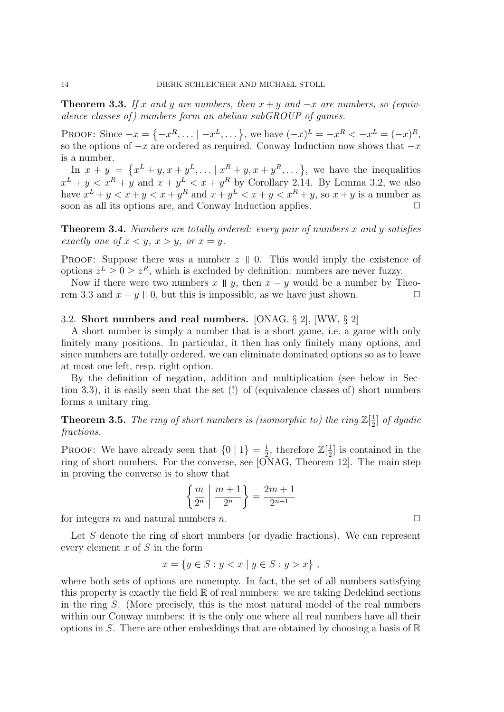**Theorem 3.3.** If x and y are numbers, then  $x + y$  and  $-x$  are numbers, so (equivalence classes of ) numbers form an abelian subGROUP of games.

PROOF: Since  $-x = \{-x^R, \dots | -x^L, \dots \}$ , we have  $(-x)^L = -x^R < -x^L = (-x)^R$ , so the options of  $-x$  are ordered as required. Conway Induction now shows that  $-x$ is a number.

In  $x + y = \{x^L + y, x + y^L, \dots | x^R + y, x + y^R, \dots \}$ , we have the inequalities  $x^L + y < x^R + y$  and  $x + y^L < x + y^R$  by Corollary 2.14. By Lemma 3.2, we also have  $x^L + y < x + y < x + y^R$  and  $x + y^L < x + y < x^R + y$ , so  $x + y$  is a number as soon as all its options are, and Conway Induction applies.  $\Box$ 

**Theorem 3.4.** Numbers are totally ordered: every pair of numbers x and y satisfies exactly one of  $x < y$ ,  $x > y$ , or  $x = y$ .

PROOF: Suppose there was a number  $z \parallel 0$ . This would imply the existence of options  $z^L \geq 0 \geq z^R$ , which is excluded by definition: numbers are never fuzzy.

Now if there were two numbers  $x \parallel y$ , then  $x - y$  would be a number by Theorem 3.3 and  $x - y \parallel 0$ , but this is impossible, as we have just shown.  $\Box$ 

#### 3.2. Short numbers and real numbers. [ONAG, § 2], [WW, § 2]

A short number is simply a number that is a short game, i.e. a game with only finitely many positions. In particular, it then has only finitely many options, and since numbers are totally ordered, we can eliminate dominated options so as to leave at most one left, resp. right option.

By the definition of negation, addition and multiplication (see below in Section 3.3), it is easily seen that the set (!) of (equivalence classes of) short numbers forms a unitary ring.

**Theorem 3.5.** The ring of short numbers is (isomorphic to) the ring  $\mathbb{Z}[\frac{1}{2}]$  $\frac{1}{2}$  of dyadic fractions.

**PROOF:** We have already seen that  $\{0 \mid 1\} = \frac{1}{2}$  $\frac{1}{2}$ , therefore  $\mathbb{Z}[\frac{1}{2}]$  $\frac{1}{2}$  is contained in the ring of short numbers. For the converse, see [ONAG, Theorem 12]. The main step in proving the converse is to show that

$$
\left\{\frac{m}{2^n} \mid \frac{m+1}{2^n}\right\} = \frac{2m+1}{2^{n+1}}
$$

for integers m and natural numbers n.  $\square$ 

Let S denote the ring of short numbers (or dyadic fractions). We can represent every element  $x$  of  $S$  in the form

$$
x = \{ y \in S : y < x \mid y \in S : y > x \},
$$

where both sets of options are nonempty. In fact, the set of all numbers satisfying this property is exactly the field  $\mathbb R$  of real numbers: we are taking Dedekind sections in the ring S. (More precisely, this is the most natural model of the real numbers within our Conway numbers: it is the only one where all real numbers have all their options in S. There are other embeddings that are obtained by choosing a basis of  $\mathbb R$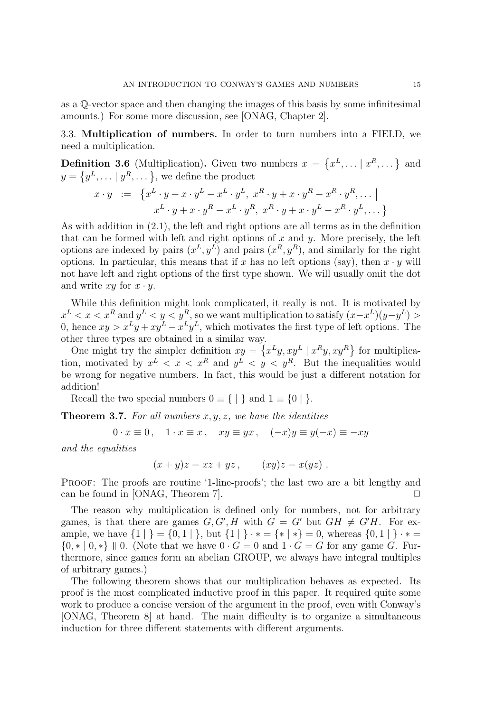as a Q-vector space and then changing the images of this basis by some infinitesimal amounts.) For some more discussion, see [ONAG, Chapter 2].

3.3. Multiplication of numbers. In order to turn numbers into a FIELD, we need a multiplication.

**Definition 3.6** (Multiplication). Given two numbers  $x = \{x^L, \dots | x^R, \dots \}$  and  $y = \{y^L, \dots | y^R, \dots \},$  we define the product

$$
x \cdot y \quad := \quad \left\{ x^L \cdot y + x \cdot y^L - x^L \cdot y^L, \ x^R \cdot y + x \cdot y^R - x^R \cdot y^R, \dots \mid
$$
\n
$$
x^L \cdot y + x \cdot y^R - x^L \cdot y^R, \ x^R \cdot y + x \cdot y^L - x^R \cdot y^L, \dots \right\}
$$

As with addition in (2.1), the left and right options are all terms as in the definition that can be formed with left and right options of  $x$  and  $y$ . More precisely, the left options are indexed by pairs  $(x^L, y^L)$  and pairs  $(x^R, y^R)$ , and similarly for the right options. In particular, this means that if x has no left options (say), then  $x \cdot y$  will not have left and right options of the first type shown. We will usually omit the dot and write  $xy$  for  $x \cdot y$ .

While this definition might look complicated, it really is not. It is motivated by  $x^L < x < x^R$  and  $y^L < y < y^R$ , so we want multiplication to satisfy  $(x-x^L)(y-y^L) >$ 0, hence  $xy > x^L y + xy^L - x^L y^L$ , which motivates the first type of left options. The other three types are obtained in a similar way.

One might try the simpler definition  $xy = \{x^L y, xy^L | x^R y, xy^R\}$  for multiplication, motivated by  $x^L < x < x^R$  and  $y^L < y < y^R$ . But the inequalities would be wrong for negative numbers. In fact, this would be just a different notation for addition!

Recall the two special numbers  $0 \equiv \{ | \}$  and  $1 \equiv \{ 0 | \}$ .

**Theorem 3.7.** For all numbers  $x, y, z$ , we have the identities

$$
0 \cdot x \equiv 0, \quad 1 \cdot x \equiv x, \quad xy \equiv yx, \quad (-x)y \equiv y(-x) \equiv -xy
$$

and the equalities

$$
(x + y)z = xz + yz, \qquad (xy)z = x(yz).
$$

Proof: The proofs are routine '1-line-proofs'; the last two are a bit lengthy and can be found in [ONAG, Theorem 7].  $\square$ 

The reason why multiplication is defined only for numbers, not for arbitrary games, is that there are games  $G, G', H$  with  $G = G'$  but  $GH \neq G'H$ . For example, we have  $\{1 \mid \} = \{0, 1 \mid \}$ , but  $\{1 \mid \} \cdot * = \{ * \mid * \} = 0$ , whereas  $\{0, 1 \mid \} \cdot * =$  ${0, * | 0, *}$  0. (Note that we have  $0 \cdot G = 0$  and  $1 \cdot G = G$  for any game G. Furthermore, since games form an abelian GROUP, we always have integral multiples of arbitrary games.)

The following theorem shows that our multiplication behaves as expected. Its proof is the most complicated inductive proof in this paper. It required quite some work to produce a concise version of the argument in the proof, even with Conway's [ONAG, Theorem 8] at hand. The main difficulty is to organize a simultaneous induction for three different statements with different arguments.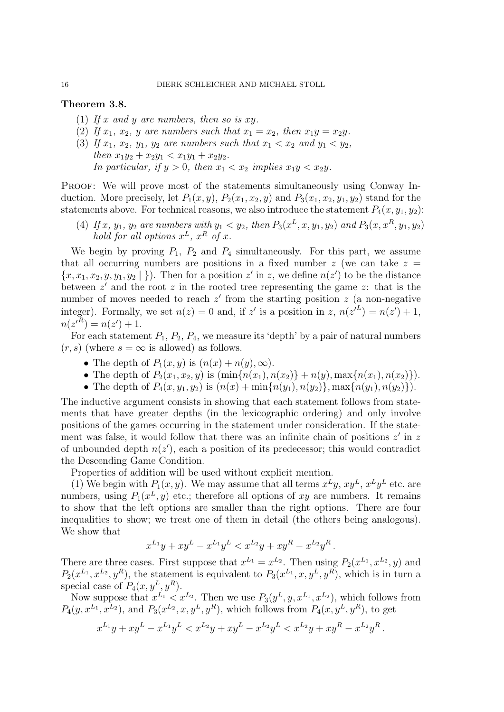### Theorem 3.8.

- (1) If x and y are numbers, then so is xy.
- (2) If  $x_1, x_2, y$  are numbers such that  $x_1 = x_2$ , then  $x_1y = x_2y$ .
- (3) If  $x_1, x_2, y_1, y_2$  are numbers such that  $x_1 < x_2$  and  $y_1 < y_2$ , then  $x_1y_2 + x_2y_1 < x_1y_1 + x_2y_2$ . In particular, if  $y > 0$ , then  $x_1 < x_2$  implies  $x_1y < x_2y$ .

PROOF: We will prove most of the statements simultaneously using Conway Induction. More precisely, let  $P_1(x, y)$ ,  $P_2(x_1, x_2, y)$  and  $P_3(x_1, x_2, y_1, y_2)$  stand for the statements above. For technical reasons, we also introduce the statement  $P_4(x, y_1, y_2)$ :

(4) If x,  $y_1$ ,  $y_2$  are numbers with  $y_1 < y_2$ , then  $P_3(x^L, x, y_1, y_2)$  and  $P_3(x, x^R, y_1, y_2)$ hold for all options  $x^L$ ,  $x^R$  of x.

We begin by proving  $P_1$ ,  $P_2$  and  $P_4$  simultaneously. For this part, we assume that all occurring numbers are positions in a fixed number  $z$  (we can take  $z =$  $\{x, x_1, x_2, y, y_1, y_2 \mid \}$ . Then for a position  $z'$  in z, we define  $n(z')$  to be the distance between  $z'$  and the root  $z$  in the rooted tree representing the game  $z$ : that is the number of moves needed to reach  $z'$  from the starting position  $z$  (a non-negative integer). Formally, we set  $n(z) = 0$  and, if z' is a position in z,  $n(z'^{L}) = n(z') + 1$ ,  $n(z'^{R}) = n(z') + 1.$ 

For each statement  $P_1$ ,  $P_2$ ,  $P_4$ , we measure its 'depth' by a pair of natural numbers  $(r, s)$  (where  $s = \infty$  is allowed) as follows.

- The depth of  $P_1(x, y)$  is  $(n(x) + n(y), \infty)$ .
- The depth of  $P_2(x_1, x_2, y)$  is  $(\min\{n(x_1), n(x_2)\} + n(y), \max\{n(x_1), n(x_2)\})$ .
- The depth of  $P_4(x, y_1, y_2)$  is  $(n(x) + \min\{n(y_1), n(y_2)\}, \max\{n(y_1), n(y_2)\})$ .

The inductive argument consists in showing that each statement follows from statements that have greater depths (in the lexicographic ordering) and only involve positions of the games occurring in the statement under consideration. If the statement was false, it would follow that there was an infinite chain of positions  $z'$  in z of unbounded depth  $n(z')$ , each a position of its predecessor; this would contradict the Descending Game Condition.

Properties of addition will be used without explicit mention.

(1) We begin with  $P_1(x, y)$ . We may assume that all terms  $x^L y$ ,  $xy^L$ ,  $x^L y^L$  etc. are numbers, using  $P_1(x^L, y)$  etc.; therefore all options of xy are numbers. It remains to show that the left options are smaller than the right options. There are four inequalities to show; we treat one of them in detail (the others being analogous). We show that

$$
x^{L_1}y + xy^L - x^{L_1}y^L < x^{L_2}y + xy^R - x^{L_2}y^R.
$$

There are three cases. First suppose that  $x^{L_1} = x^{L_2}$ . Then using  $P_2(x^{L_1}, x^{L_2}, y)$  and  $P_2(x^{L_1}, x^{L_2}, y^R)$ , the statement is equivalent to  $P_3(x^{L_1}, x, y^L, y^R)$ , which is in turn a special case of  $P_4(x, y^L, y^R)$ .

Now suppose that  $x^{L_1} < x^{L_2}$ . Then we use  $P_3(y^L, y, x^{L_1}, x^{L_2})$ , which follows from  $P_4(y, x^{L_1}, x^{L_2})$ , and  $P_3(x^{L_2}, x, y^L, y^R)$ , which follows from  $P_4(x, y^L, y^R)$ , to get

$$
x^{L_1}y + xy^L - x^{L_1}y^L < x^{L_2}y + xy^L - x^{L_2}y^L < x^{L_2}y + xy^R - x^{L_2}y^R.
$$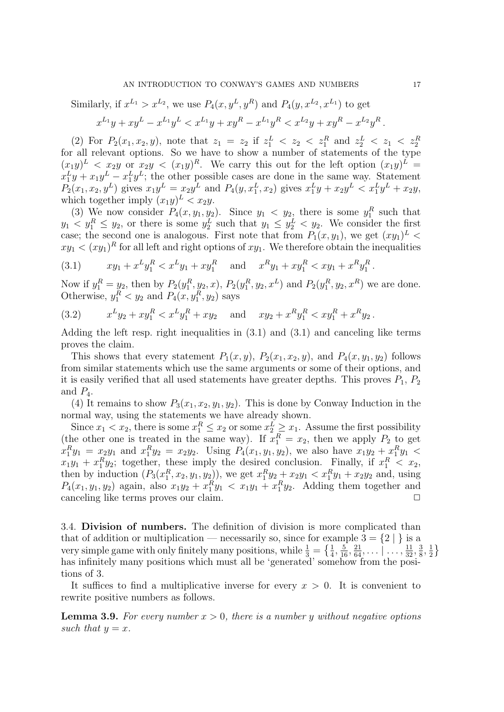Similarly, if  $x^{L_1} > x^{L_2}$ , we use  $P_4(x, y^L, y^R)$  and  $P_4(y, x^{L_2}, x^{L_1})$  to get

$$
x^{L_1}y + xy^L - x^{L_1}y^L < x^{L_1}y + xy^R - x^{L_1}y^R < x^{L_2}y + xy^R - x^{L_2}y^R.
$$

(2) For  $P_2(x_1, x_2, y)$ , note that  $z_1 = z_2$  if  $z_1^L < z_2 < z_1^R$  and  $z_2^L < z_1 < z_2^R$  for all relevant options. So we have to show a number of statements of the type  $(x_1y)^L < x_2y$  or  $x_2y < (x_1y)^R$ . We carry this out for the left option  $(x_1y)^L$  $x_1^L y + x_1 y^L - x_1^L y^L$ ; the other possible cases are done in the same way. Statement  $P_2(x_1, x_2, y^L)$  gives  $x_1y^L = x_2y^L$  and  $P_4(y, x_1^L, x_2)$  gives  $x_1^Ly + x_2y^L < x_1^Ly^L + x_2y$ , which together imply  $(x_1y)^L < x_2y$ .

(3) We now consider  $P_4(x, y_1, y_2)$ . Since  $y_1 < y_2$ , there is some  $y_1^R$  such that  $y_1 < y_1^R \le y_2$ , or there is some  $y_2^L$  such that  $y_1 \le y_2^L < y_2$ . We consider the first case; the second one is analogous. First note that from  $P_1(x, y_1)$ , we get  $(xy_1)^L$  $xy_1 < (xy_1)^R$  for all left and right options of  $xy_1$ . We therefore obtain the inequalities

$$
(3.1) \t xy_1 + x^L y_1^R < x^L y_1 + xy_1^R \text{ and } x^R y_1 + xy_1^R < xy_1 + x^R y_1^R.
$$

Now if  $y_1^R = y_2$ , then by  $P_2(y_1^R, y_2, x)$ ,  $P_2(y_1^R, y_2, x^L)$  and  $P_2(y_1^R, y_2, x^R)$  we are done. Otherwise,  $y_1^R < y_2$  and  $P_4(x, y_1^R, y_2)$  says

(3.2) 
$$
x^L y_2 + x y_1^R < x^L y_1^R + x y_2 \quad \text{and} \quad xy_2 + x^R y_1^R < x y_1^R + x^R y_2 \,.
$$

Adding the left resp. right inequalities in (3.1) and (3.1) and canceling like terms proves the claim.

This shows that every statement  $P_1(x, y)$ ,  $P_2(x_1, x_2, y)$ , and  $P_4(x, y_1, y_2)$  follows from similar statements which use the same arguments or some of their options, and it is easily verified that all used statements have greater depths. This proves  $P_1$ ,  $P_2$ and  $P_4$ .

(4) It remains to show  $P_3(x_1, x_2, y_1, y_2)$ . This is done by Conway Induction in the normal way, using the statements we have already shown.

Since  $x_1 < x_2$ , there is some  $x_1^R \le x_2$  or some  $x_2^L \ge x_1$ . Assume the first possibility (the other one is treated in the same way). If  $x_1^R = x_2$ , then we apply  $P_2$  to get  $x_1^R y_1 = x_2 y_1$  and  $x_1^R y_2 = x_2 y_2$ . Using  $P_4(x_1, y_1, y_2)$ , we also have  $x_1 y_2 + x_1^R y_1 <$  $x_1y_1 + x_1^R y_2$ ; together, these imply the desired conclusion. Finally, if  $x_1^R < x_2$ , then by induction  $(P_3(x_1^R, x_2, y_1, y_2))$ , we get  $x_1^R y_2 + x_2 y_1 < x_1^R y_1 + x_2 y_2$  and, using  $P_4(x_1, y_1, y_2)$  again, also  $x_1y_2 + x_1^R y_1 < x_1y_1 + x_1^R y_2$ . Adding them together and canceling like terms proves our claim.  $\Box$ 

3.4. Division of numbers. The definition of division is more complicated than that of addition or multiplication — necessarily so, since for example  $3 = \{2 \}$  is a very simple game with only finitely many positions, while  $\frac{1}{3} = \left\{ \frac{1}{4}, \frac{5}{16}, \frac{21}{64}, \ldots \mid \ldots, \frac{11}{32}, \frac{3}{8} \right\}$  $\frac{3}{8}, \frac{1}{2}$  $rac{1}{2}$ has infinitely many positions which must all be 'generated' somehow from the positions of 3.

It suffices to find a multiplicative inverse for every  $x > 0$ . It is convenient to rewrite positive numbers as follows.

**Lemma 3.9.** For every number  $x > 0$ , there is a number y without negative options such that  $y = x$ .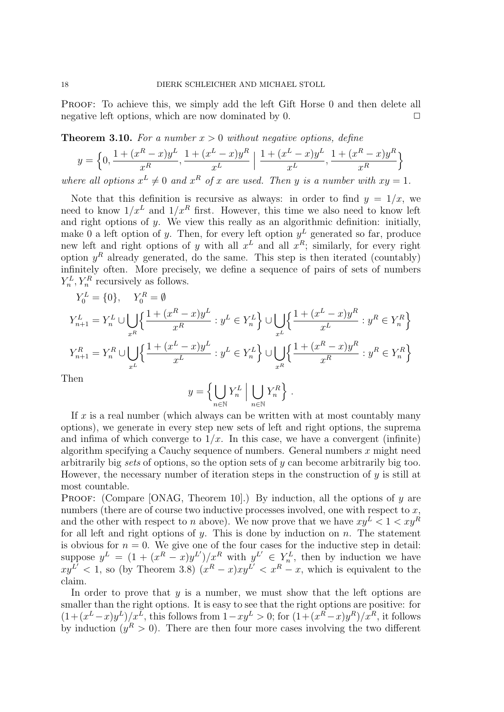PROOF: To achieve this, we simply add the left Gift Horse 0 and then delete all negative left options, which are now dominated by 0.  $\Box$ 

**Theorem 3.10.** For a number  $x > 0$  without negative options, define

$$
y = \left\{0, \frac{1 + (x^R - x)y^L}{x^R}, \frac{1 + (x^L - x)y^R}{x^L} \middle| \frac{1 + (x^L - x)y^L}{x^L}, \frac{1 + (x^R - x)y^R}{x^R} \right\}
$$
  
where all options  $x^L \neq 0$  and  $x^R$  of x are used. Then y is a number with  $xy = 1$ .

Note that this definition is recursive as always: in order to find  $y = 1/x$ , we need to know  $1/x^L$  and  $1/x^R$  first. However, this time we also need to know left and right options of  $y$ . We view this really as an algorithmic definition: initially, make 0 a left option of y. Then, for every left option  $y<sup>L</sup>$  generated so far, produce new left and right options of y with all  $x^L$  and all  $x^R$ ; similarly, for every right option  $y<sup>R</sup>$  already generated, do the same. This step is then iterated (countably) infinitely often. More precisely, we define a sequence of pairs of sets of numbers  $Y_n^L, Y_n^R$  recursively as follows.

$$
\begin{aligned} Y_0^L & = \{0\}, \quad Y_0^R = \emptyset \\ Y_{n+1}^L & = Y_n^L \cup \bigcup_{x^R} \Bigl\{ \frac{1 + (x^R - x)y^L}{x^R} : y^L \in Y_n^L \Bigr\} \cup \bigcup_{x^L} \Bigl\{ \frac{1 + (x^L - x)y^R}{x^L} : y^R \in Y_n^R \Bigr\} \\ Y_{n+1}^R & = Y_n^R \cup \bigcup_{x^L} \Bigl\{ \frac{1 + (x^L - x)y^L}{x^L} : y^L \in Y_n^L \Bigr\} \cup \bigcup_{x^R} \Bigl\{ \frac{1 + (x^R - x)y^R}{x^R} : y^R \in Y_n^R \Bigr\} \\ \end{aligned}
$$

Then

$$
y = \left\{ \bigcup_{n \in \mathbb{N}} Y_n^L \; \middle| \; \bigcup_{n \in \mathbb{N}} Y_n^R \right\} \, .
$$

If  $x$  is a real number (which always can be written with at most countably many options), we generate in every step new sets of left and right options, the suprema and infima of which converge to  $1/x$ . In this case, we have a convergent (infinite) algorithm specifying a Cauchy sequence of numbers. General numbers x might need arbitrarily big sets of options, so the option sets of  $y$  can become arbitrarily big too. However, the necessary number of iteration steps in the construction of  $y$  is still at most countable.

PROOF: (Compare [ONAG, Theorem 10].) By induction, all the options of  $y$  are numbers (there are of course two inductive processes involved, one with respect to  $x$ , and the other with respect to n above). We now prove that we have  $xy^L < 1 < xy^R$ for all left and right options of y. This is done by induction on n. The statement is obvious for  $n = 0$ . We give one of the four cases for the inductive step in detail: suppose  $y^L = (1 + (x^R - x)y^{L'})/x^R$  with  $y^{L'} \in Y_n^L$ , then by induction we have  $xy^{L'}$  < 1, so (by Theorem 3.8)  $(x^R - x)xy^{L'}$  <  $x^R - x$ , which is equivalent to the claim.

In order to prove that  $y$  is a number, we must show that the left options are smaller than the right options. It is easy to see that the right options are positive: for  $(1+(x^L-x)y^L)/x^L$ , this follows from  $1-xy^L > 0$ ; for  $(1+(x^R-x)y^R)/x^R$ , it follows by induction  $(y^R > 0)$ . There are then four more cases involving the two different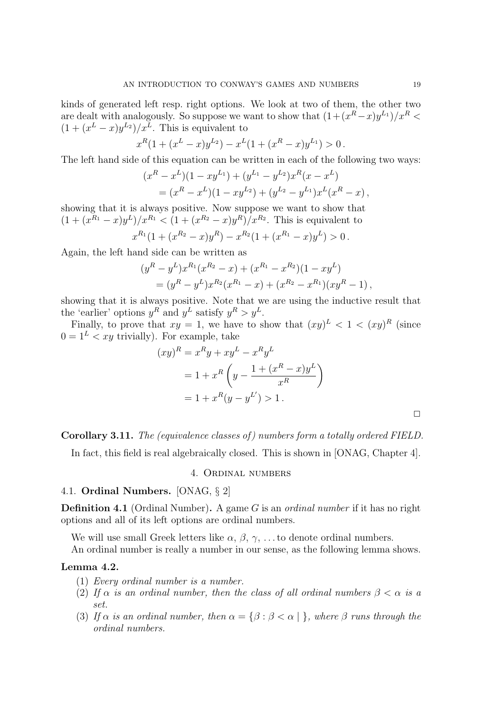kinds of generated left resp. right options. We look at two of them, the other two are dealt with analogously. So suppose we want to show that  $(1+(x^R-x)y^{L_1})/x^R$  $(1+(x^L-x)y^{L_2})/x^L$ . This is equivalent to

$$
x^{R}(1 + (x^{L} - x)y^{L_2}) - x^{L}(1 + (x^{R} - x)y^{L_1}) > 0.
$$

The left hand side of this equation can be written in each of the following two ways:

$$
(xR - xL)(1 - xyL1) + (yL1 - yL2)xR(x - xL)
$$
  
= (x<sup>R</sup> - x<sup>L</sup>)(1 - xy<sup>L<sub>2</sub></sup>) + (y<sup>L<sub>2</sub></sup> - y<sup>L<sub>1</sub></sup>)x<sup>L</sup>(x<sup>R</sup> - x),

showing that it is always positive. Now suppose we want to show that  $(1 + (x^{R_1} - x)y^L)/x^{R_1} < (1 + (x^{R_2} - x)y^R)/x^{R_2}$ . This is equivalent to

$$
x^{R_1}(1 + (x^{R_2} - x)y^R) - x^{R_2}(1 + (x^{R_1} - x)y^L) > 0.
$$

Again, the left hand side can be written as

$$
(yR - yL)xR1(xR2 - x) + (xR1 - xR2)(1 - xyL) = (yR - yL)xR2(xR1 - x) + (xR2 - xR1)(xyR - 1),
$$

showing that it is always positive. Note that we are using the inductive result that the 'earlier' options  $y^R$  and  $y^L$  satisfy  $y^R > y^L$ .

Finally, to prove that  $xy = 1$ , we have to show that  $(xy)^L < 1 < (xy)^R$  (since  $0 = 1<sup>L</sup> < xy$  trivially). For example, take

$$
(xy)^R = x^R y + xy^L - x^R y^L
$$
  
= 1 + x<sup>R</sup>  $\left( y - \frac{1 + (x^R - x)y^L}{x^R} \right)$   
= 1 + x<sup>R</sup> (y - y<sup>L'</sup>) > 1.

Corollary 3.11. The (equivalence classes of ) numbers form a totally ordered FIELD.

In fact, this field is real algebraically closed. This is shown in [ONAG, Chapter 4].

# 4. Ordinal numbers

### 4.1. Ordinal Numbers. [ONAG, § 2]

**Definition 4.1** (Ordinal Number). A game G is an *ordinal number* if it has no right options and all of its left options are ordinal numbers.

We will use small Greek letters like  $\alpha$ ,  $\beta$ ,  $\gamma$ , ... to denote ordinal numbers. An ordinal number is really a number in our sense, as the following lemma shows.

#### Lemma 4.2.

- (1) Every ordinal number is a number.
- (2) If  $\alpha$  is an ordinal number, then the class of all ordinal numbers  $\beta < \alpha$  is a set.
- (3) If  $\alpha$  is an ordinal number, then  $\alpha = {\beta : \beta < \alpha |}$ , where  $\beta$  runs through the ordinal numbers.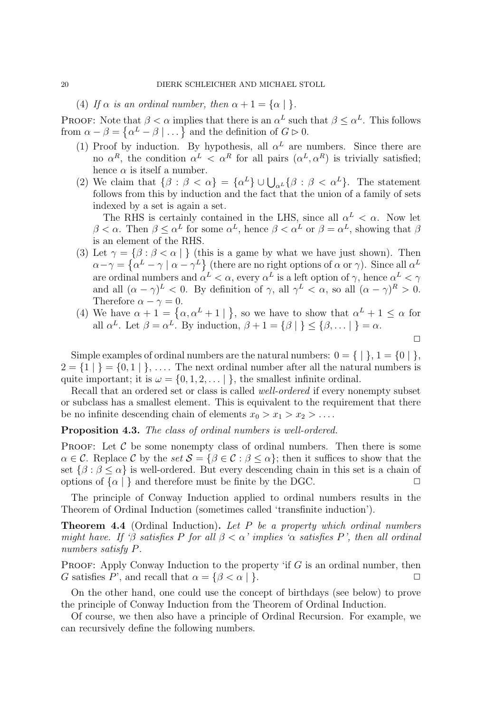(4) If  $\alpha$  is an ordinal number, then  $\alpha + 1 = {\alpha | \}$ .

**PROOF:** Note that  $\beta < \alpha$  implies that there is an  $\alpha^L$  such that  $\beta \leq \alpha^L$ . This follows from  $\alpha - \beta = \{ \alpha^L - \beta \mid \dots \}$  and the definition of  $G \triangleright 0$ .

- (1) Proof by induction. By hypothesis, all  $\alpha^L$  are numbers. Since there are no  $\alpha^R$ , the condition  $\alpha^L < \alpha^R$  for all pairs  $(\alpha^L, \alpha^R)$  is trivially satisfied; hence  $\alpha$  is itself a number.
- (2) We claim that  $\{\beta : \beta < \alpha\} = {\{\alpha^L\}} \cup \bigcup_{\alpha^L} {\{\beta : \beta < \alpha^L\}}$ . The statement follows from this by induction and the fact that the union of a family of sets indexed by a set is again a set.

The RHS is certainly contained in the LHS, since all  $\alpha^L < \alpha$ . Now let  $\beta < \alpha$ . Then  $\beta \leq \alpha^L$  for some  $\alpha^L$ , hence  $\beta < \alpha^L$  or  $\beta = \alpha^L$ , showing that  $\beta$ is an element of the RHS.

- (3) Let  $\gamma = {\beta : \beta < \alpha \mid}$  (this is a game by what we have just shown). Then  $\alpha-\gamma=\{\alpha^L-\gamma\mid \alpha-\gamma^L\}$  (there are no right options of  $\alpha$  or  $\gamma$ ). Since all  $\alpha^L$ are ordinal numbers and  $\alpha^L < \alpha$ , every  $\alpha^L$  is a left option of  $\gamma$ , hence  $\alpha^L < \gamma$ and all  $(\alpha - \gamma)^L < 0$ . By definition of  $\gamma$ , all  $\gamma^L < \alpha$ , so all  $(\alpha - \gamma)^R > 0$ . Therefore  $\alpha - \gamma = 0$ .
- (4) We have  $\alpha + 1 = {\alpha, \alpha^{L} + 1 \mid}$ , so we have to show that  $\alpha^{L} + 1 \leq \alpha$  for all  $\alpha^L$ . Let  $\beta = \alpha^L$ . By induction,  $\beta + 1 = {\beta | \ } \le {\beta, \dots | } = \alpha$ .

 $\Box$ 

Simple examples of ordinal numbers are the natural numbers:  $0 = \{ | \}$ ,  $1 = \{ 0 | \}$ ,  $2 = \{1 | \} = \{0, 1 | \}, \ldots$  The next ordinal number after all the natural numbers is quite important; it is  $\omega = \{0, 1, 2, \dots\}$ , the smallest infinite ordinal.

Recall that an ordered set or class is called well-ordered if every nonempty subset or subclass has a smallest element. This is equivalent to the requirement that there be no infinite descending chain of elements  $x_0 > x_1 > x_2 > \ldots$ .

Proposition 4.3. The class of ordinal numbers is well-ordered.

**PROOF:** Let  $\mathcal C$  be some nonempty class of ordinal numbers. Then there is some  $\alpha \in \mathcal{C}$ . Replace C by the set  $\mathcal{S} = {\beta \in \mathcal{C} : \beta \leq \alpha}$ ; then it suffices to show that the set  $\{\beta : \beta \leq \alpha\}$  is well-ordered. But every descending chain in this set is a chain of options of  $\{\alpha \mid \}$  and therefore must be finite by the DGC.

The principle of Conway Induction applied to ordinal numbers results in the Theorem of Ordinal Induction (sometimes called 'transfinite induction').

**Theorem 4.4** (Ordinal Induction). Let P be a property which ordinal numbers might have. If 'β satisfies P for all  $\beta < \alpha$ ' implies ' $\alpha$  satisfies P', then all ordinal numbers satisfy P.

**PROOF:** Apply Conway Induction to the property 'if  $G$  is an ordinal number, then G satisfies P', and recall that  $\alpha = \{\beta < \alpha \mid \}$ .

On the other hand, one could use the concept of birthdays (see below) to prove the principle of Conway Induction from the Theorem of Ordinal Induction.

Of course, we then also have a principle of Ordinal Recursion. For example, we can recursively define the following numbers.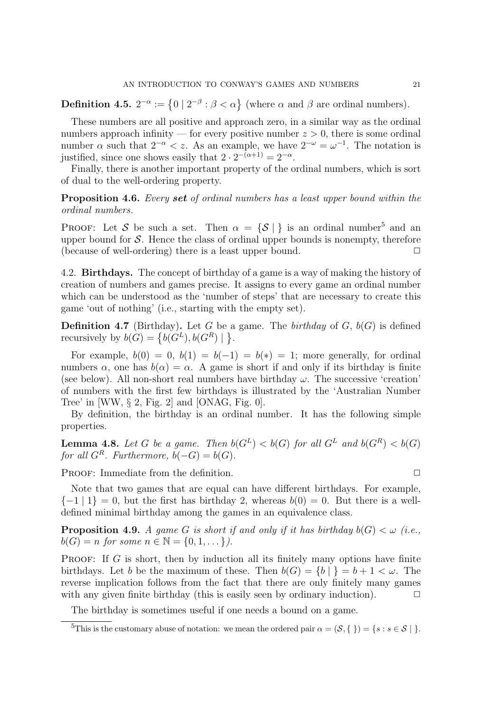**Definition 4.5.**  $2^{-\alpha} := \{0 \mid 2^{-\beta} : \beta < \alpha\}$  (where  $\alpha$  and  $\beta$  are ordinal numbers).

These numbers are all positive and approach zero, in a similar way as the ordinal numbers approach infinity — for every positive number  $z > 0$ , there is some ordinal number  $\alpha$  such that  $2^{-\alpha} < z$ . As an example, we have  $2^{-\omega} = \omega^{-1}$ . The notation is justified, since one shows easily that  $2 \cdot 2^{-(\alpha+1)} = 2^{-\alpha}$ .

Finally, there is another important property of the ordinal numbers, which is sort of dual to the well-ordering property.

Proposition 4.6. Every set of ordinal numbers has a least upper bound within the ordinal numbers.

**PROOF:** Let S be such a set. Then  $\alpha = \{S \mid \}$  is an ordinal number<sup>5</sup> and an upper bound for  $S$ . Hence the class of ordinal upper bounds is nonempty, therefore (because of well-ordering) there is a least upper bound.  $\Box$ 

4.2. Birthdays. The concept of birthday of a game is a way of making the history of creation of numbers and games precise. It assigns to every game an ordinal number which can be understood as the 'number of steps' that are necessary to create this game 'out of nothing' (i.e., starting with the empty set).

**Definition 4.7** (Birthday). Let G be a game. The *birthday* of G,  $b(G)$  is defined recursively by  $b(G) = \{b(G^L), b(G^R) \mid \}.$ 

For example,  $b(0) = 0$ ,  $b(1) = b(-1) = b(*) = 1$ ; more generally, for ordinal numbers  $\alpha$ , one has  $b(\alpha) = \alpha$ . A game is short if and only if its birthday is finite (see below). All non-short real numbers have birthday  $\omega$ . The successive 'creation' of numbers with the first few birthdays is illustrated by the 'Australian Number Tree' in  $[WW, § 2, Fig. 2]$  and  $[ONAG, Fig. 0].$ 

By definition, the birthday is an ordinal number. It has the following simple properties.

**Lemma 4.8.** Let G be a game. Then  $b(G^L) < b(G)$  for all  $G^L$  and  $b(G^R) < b(G)$ for all  $G^R$ . Furthermore,  $b(-G) = b(G)$ .

PROOF: Immediate from the definition.  $\Box$ 

Note that two games that are equal can have different birthdays. For example,  ${-1 \mid 1} = 0$ , but the first has birthday 2, whereas  $b(0) = 0$ . But there is a welldefined minimal birthday among the games in an equivalence class.

**Proposition 4.9.** A game G is short if and only if it has birthday  $b(G) < \omega$  (i.e.,  $b(G) = n$  for some  $n \in \mathbb{N} = \{0, 1, \dots\}$ .

**PROOF:** If G is short, then by induction all its finitely many options have finite birthdays. Let b be the maximum of these. Then  $b(G) = \{b \mid \} = b + 1 < \omega$ . The reverse implication follows from the fact that there are only finitely many games with any given finite birthday (this is easily seen by ordinary induction).  $\Box$ 

The birthday is sometimes useful if one needs a bound on a game.

<sup>&</sup>lt;sup>5</sup>This is the customary abuse of notation: we mean the ordered pair  $\alpha = (\mathcal{S}, \{\}) = \{s : s \in \mathcal{S} \}\$ .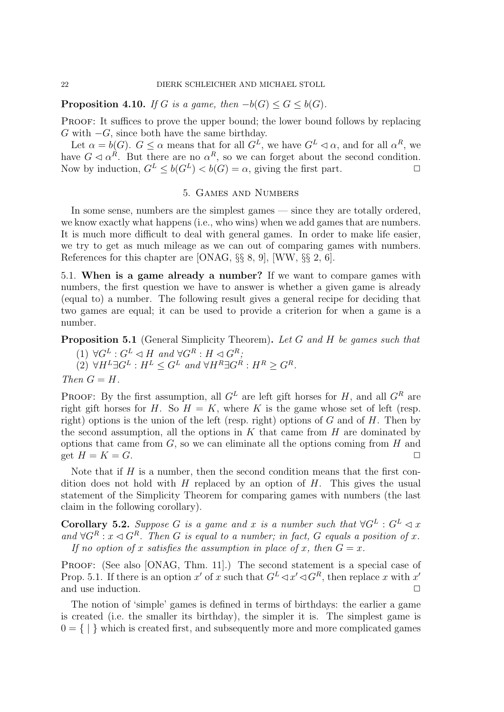**Proposition 4.10.** If G is a game, then  $-b(G) \leq G \leq b(G)$ .

PROOF: It suffices to prove the upper bound; the lower bound follows by replacing  $G$  with  $-G$ , since both have the same birthday.

Let  $\alpha = b(G)$ .  $G \leq \alpha$  means that for all  $G^L$ , we have  $G^L \lhd \alpha$ , and for all  $\alpha^R$ , we have  $G \triangleleft \alpha^R$ . But there are no  $\alpha^R$ , so we can forget about the second condition. Now by induction,  $G^L \leq b(G^L) < b(G) = \alpha$ , giving the first part.  $\Box$ 

### 5. Games and Numbers

In some sense, numbers are the simplest games — since they are totally ordered, we know exactly what happens (i.e., who wins) when we add games that are numbers. It is much more difficult to deal with general games. In order to make life easier, we try to get as much mileage as we can out of comparing games with numbers. References for this chapter are [ONAG, §§ 8, 9], [WW, §§ 2, 6].

5.1. When is a game already a number? If we want to compare games with numbers, the first question we have to answer is whether a given game is already (equal to) a number. The following result gives a general recipe for deciding that two games are equal; it can be used to provide a criterion for when a game is a number.

**Proposition 5.1** (General Simplicity Theorem). Let G and H be games such that

(1)  $\forall G^L : G^L \lhd H$  and  $\forall G^R : H \lhd G^R;$  $(2) \ \forall H^L \exists G^L : H^L \leq G^L \ and \ \forall H^R \exists G^R : H^R \geq G^R.$ Then  $G = H$ .

PROOF: By the first assumption, all  $G<sup>L</sup>$  are left gift horses for H, and all  $G<sup>R</sup>$  are right gift horses for H. So  $H = K$ , where K is the game whose set of left (resp. right) options is the union of the left (resp. right) options of  $G$  and of  $H$ . Then by the second assumption, all the options in  $K$  that came from  $H$  are dominated by options that came from  $G$ , so we can eliminate all the options coming from  $H$  and get  $H = K = G$ .

Note that if  $H$  is a number, then the second condition means that the first condition does not hold with  $H$  replaced by an option of  $H$ . This gives the usual statement of the Simplicity Theorem for comparing games with numbers (the last claim in the following corollary).

**Corollary 5.2.** Suppose G is a game and x is a number such that  $\forall G^L : G^L \lhd x$ and  $\forall G^R : x \triangleleft G^R$ . Then G is equal to a number; in fact, G equals a position of x. If no option of x satisfies the assumption in place of x, then  $G = x$ .

PROOF: (See also [ONAG, Thm. 11].) The second statement is a special case of Prop. 5.1. If there is an option x' of x such that  $G^L \lhd x' \lhd G^R$ , then replace x with x' and use induction.  $\Box$ 

The notion of 'simple' games is defined in terms of birthdays: the earlier a game is created (i.e. the smaller its birthday), the simpler it is. The simplest game is  $0 = \{ | \}$  which is created first, and subsequently more and more complicated games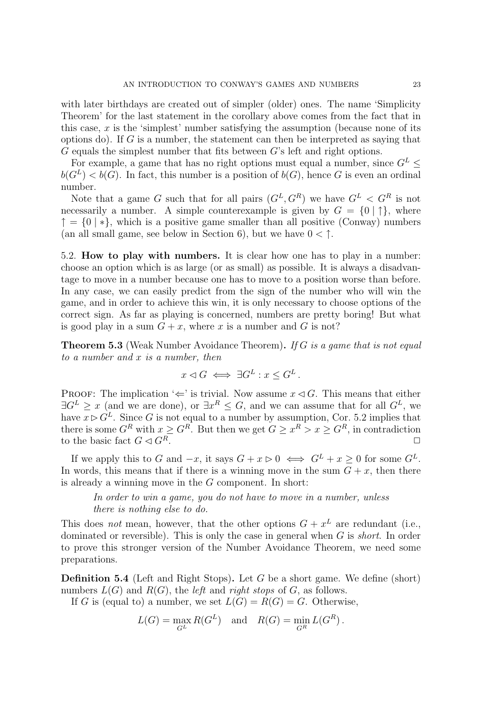with later birthdays are created out of simpler (older) ones. The name 'Simplicity Theorem' for the last statement in the corollary above comes from the fact that in this case,  $x$  is the 'simplest' number satisfying the assumption (because none of its options do). If  $G$  is a number, the statement can then be interpreted as saying that  $G$  equals the simplest number that fits between  $G$ 's left and right options.

For example, a game that has no right options must equal a number, since  $G^L \leq$  $b(G^L) < b(G)$ . In fact, this number is a position of  $b(G)$ , hence G is even an ordinal number.

Note that a game G such that for all pairs  $(G^L, G^R)$  we have  $G^L < G^R$  is not necessarily a number. A simple counterexample is given by  $G = \{0 \mid \uparrow\}$ , where  $\uparrow$  = {0 | \*}, which is a positive game smaller than all positive (Conway) numbers (an all small game, see below in Section 6), but we have  $0 < \uparrow$ .

5.2. How to play with numbers. It is clear how one has to play in a number: choose an option which is as large (or as small) as possible. It is always a disadvantage to move in a number because one has to move to a position worse than before. In any case, we can easily predict from the sign of the number who will win the game, and in order to achieve this win, it is only necessary to choose options of the correct sign. As far as playing is concerned, numbers are pretty boring! But what is good play in a sum  $G + x$ , where x is a number and G is not?

**Theorem 5.3** (Weak Number Avoidance Theorem). If G is a game that is not equal to a number and x is a number, then

$$
x \lhd G \iff \exists G^L : x \leq G^L.
$$

PROOF: The implication ' $\Leftarrow$ ' is trivial. Now assume  $x \triangleleft G$ . This means that either  $\exists G^L \geq x$  (and we are done), or  $\exists x^R \leq G$ , and we can assume that for all  $G^L$ , we have  $x \triangleright G^L$ . Since G is not equal to a number by assumption, Cor. 5.2 implies that there is some  $G^R$  with  $x \geq G^R$ . But then we get  $G \geq x^R > x \geq G^R$ , in contradiction to the basic fact  $G \triangleleft G^R$ .

If we apply this to G and  $-x$ , it says  $G + x \triangleright 0 \iff G^L + x \geq 0$  for some  $G^L$ . In words, this means that if there is a winning move in the sum  $G + x$ , then there is already a winning move in the G component. In short:

In order to win a game, you do not have to move in a number, unless there is nothing else to do.

This does not mean, however, that the other options  $G + x^L$  are redundant (i.e., dominated or reversible). This is only the case in general when  $G$  is *short*. In order to prove this stronger version of the Number Avoidance Theorem, we need some preparations.

**Definition 5.4** (Left and Right Stops). Let G be a short game. We define (short) numbers  $L(G)$  and  $R(G)$ , the *left* and *right stops* of G, as follows.

If G is (equal to) a number, we set  $L(G) = R(G) = G$ . Otherwise,

$$
L(G) = \max_{G^L} R(G^L) \quad \text{and} \quad R(G) = \min_{G^R} L(G^R).
$$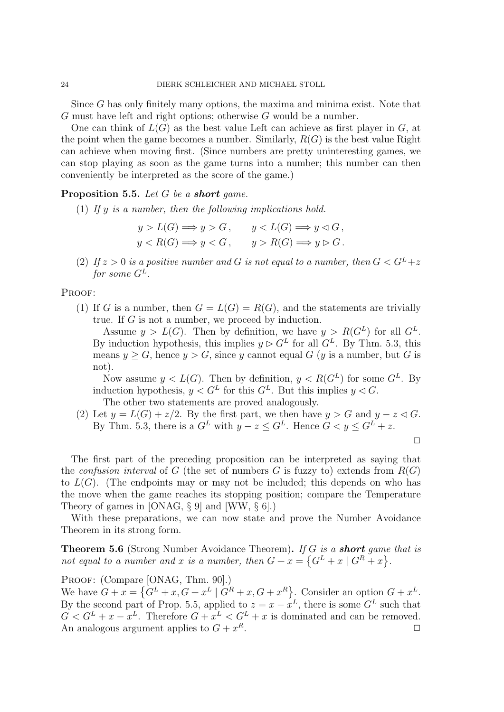Since G has only finitely many options, the maxima and minima exist. Note that G must have left and right options; otherwise G would be a number.

One can think of  $L(G)$  as the best value Left can achieve as first player in G, at the point when the game becomes a number. Similarly,  $R(G)$  is the best value Right can achieve when moving first. (Since numbers are pretty uninteresting games, we can stop playing as soon as the game turns into a number; this number can then conveniently be interpreted as the score of the game.)

### Proposition 5.5. Let G be a short game.

(1) If y is a number, then the following implications hold.

$$
y > L(G) \Longrightarrow y > G, \qquad y < L(G) \Longrightarrow y \lhd G,
$$
  

$$
y < R(G) \Longrightarrow y < G, \qquad y > R(G) \Longrightarrow y \rhd G.
$$

(2) If  $z > 0$  is a positive number and G is not equal to a number, then  $G < G<sup>L</sup> + z$ for some  $G^L$ .

### PROOF:

(1) If G is a number, then  $G = L(G) = R(G)$ , and the statements are trivially true. If  $G$  is not a number, we proceed by induction.

Assume  $y > L(G)$ . Then by definition, we have  $y > R(G^L)$  for all  $G^L$ . By induction hypothesis, this implies  $y \triangleright G^L$  for all  $G^L$ . By Thm. 5.3, this means  $y \geq G$ , hence  $y > G$ , since y cannot equal G (y is a number, but G is not).

Now assume  $y < L(G)$ . Then by definition,  $y < R(G^L)$  for some  $G^L$ . By induction hypothesis,  $y < G^L$  for this  $G^L$ . But this implies  $y \triangleleft G$ .

The other two statements are proved analogously.

(2) Let  $y = L(G) + z/2$ . By the first part, we then have  $y > G$  and  $y - z \triangleleft G$ . By Thm. 5.3, there is a  $G^L$  with  $y - z \leq G^L$ . Hence  $G < y \leq G^L + z$ .

 $\Box$ 

The first part of the preceding proposition can be interpreted as saying that the *confusion interval* of G (the set of numbers G is fuzzy to) extends from  $R(G)$ to  $L(G)$ . (The endpoints may or may not be included; this depends on who has the move when the game reaches its stopping position; compare the Temperature Theory of games in [ONAG, § 9] and [WW, § 6].)

With these preparations, we can now state and prove the Number Avoidance Theorem in its strong form.

Theorem 5.6 (Strong Number Avoidance Theorem). If G is a **short** game that is not equal to a number and x is a number, then  $G + x = \{G^L + x \mid G^R + x\}.$ 

PROOF: (Compare [ONAG, Thm. 90].)

We have  $G + x = \{G^L + x, G + x^L \mid G^R + x, G + x^R\}$ . Consider an option  $G + x^L$ . By the second part of Prop. 5.5, applied to  $z = x - x^L$ , there is some  $G^L$  such that  $G < G^L + x - x^L$ . Therefore  $G + x^L < G^L + x$  is dominated and can be removed. An analogous argument applies to  $G + x^R$ .  $R$ .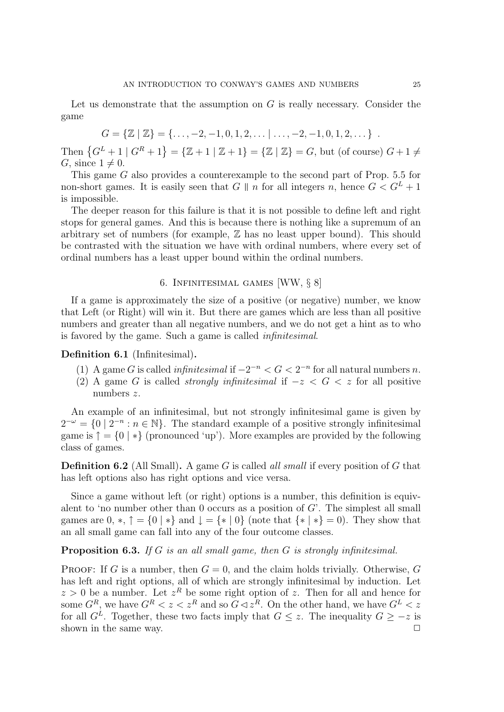Let us demonstrate that the assumption on  $G$  is really necessary. Consider the game

$$
G = \{ \mathbb{Z} \mid \mathbb{Z} \} = \{ \dots, -2, -1, 0, 1, 2, \dots \mid \dots, -2, -1, 0, 1, 2, \dots \} .
$$

Then  $\{G^L + 1 \mid G^R + 1\} = \{Z + 1 \mid Z + 1\} = \{Z \mid Z\} = G$ , but (of course)  $G + 1 \neq$ G, since  $1 \neq 0$ .

This game G also provides a counterexample to the second part of Prop. 5.5 for non-short games. It is easily seen that G || n for all integers n, hence  $G < G^L + 1$ is impossible.

The deeper reason for this failure is that it is not possible to define left and right stops for general games. And this is because there is nothing like a supremum of an arbitrary set of numbers (for example,  $\mathbb Z$  has no least upper bound). This should be contrasted with the situation we have with ordinal numbers, where every set of ordinal numbers has a least upper bound within the ordinal numbers.

## 6. Infinitesimal games [WW, § 8]

If a game is approximately the size of a positive (or negative) number, we know that Left (or Right) will win it. But there are games which are less than all positive numbers and greater than all negative numbers, and we do not get a hint as to who is favored by the game. Such a game is called infinitesimal.

#### Definition 6.1 (Infinitesimal).

- (1) A game G is called *infinitesimal* if  $-2^{-n} < G < 2^{-n}$  for all natural numbers n.
- (2) A game G is called *strongly infinitesimal* if  $-z < G < z$  for all positive numbers z.

An example of an infinitesimal, but not strongly infinitesimal game is given by  $2^{-\omega} = \{0 \mid 2^{-n} : n \in \mathbb{N}\}\.$  The standard example of a positive strongly infinitesimal game is  $\uparrow$  = {0 | \*} (pronounced 'up'). More examples are provided by the following class of games.

**Definition 6.2** (All Small). A game G is called all small if every position of G that has left options also has right options and vice versa.

Since a game without left (or right) options is a number, this definition is equivalent to 'no number other than 0 occurs as a position of  $G'$ . The simplest all small games are  $0, *$ ,  $\uparrow$  =  $\{0 \mid * \}$  and  $\downarrow$  =  $\{ * \mid 0 \}$  (note that  $\{ * \mid * \} = 0$ ). They show that an all small game can fall into any of the four outcome classes.

## Proposition 6.3. If G is an all small game, then G is strongly infinitesimal.

PROOF: If G is a number, then  $G = 0$ , and the claim holds trivially. Otherwise, G has left and right options, all of which are strongly infinitesimal by induction. Let  $z > 0$  be a number. Let  $z<sup>R</sup>$  be some right option of z. Then for all and hence for some  $G^R$ , we have  $G^R < z < z^R$  and so  $G \triangleleft z^R$ . On the other hand, we have  $G^L < z$ for all  $G^L$ . Together, these two facts imply that  $G \leq z$ . The inequality  $G \geq -z$  is shown in the same way.  $\Box$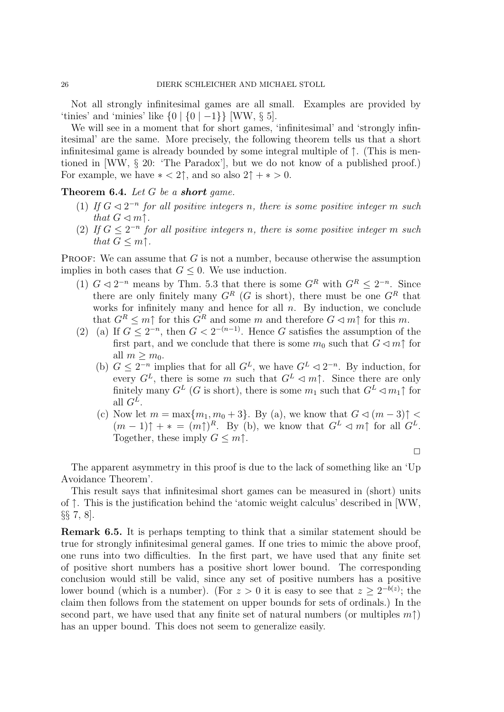Not all strongly infinitesimal games are all small. Examples are provided by 'tinies' and 'minies' like  $\{0 | \{0 | -1\} \}$  [WW,  $\S 5$ ].

We will see in a moment that for short games, 'infinitesimal' and 'strongly infinitesimal' are the same. More precisely, the following theorem tells us that a short infinitesimal game is already bounded by some integral multiple of ↑. (This is mentioned in [WW, § 20: 'The Paradox'], but we do not know of a published proof.) For example, we have  $* < 2$ †, and so also  $2^* + * > 0$ .

### Theorem 6.4. Let G be a short game.

- (1) If  $G \triangleleft 2^{-n}$  for all positive integers n, there is some positive integer m such that  $G \triangleleft m \uparrow$ .
- (2) If  $G \leq 2^{-n}$  for all positive integers n, there is some positive integer m such that  $G \leq m$ <sup> $\uparrow$ </sup>.

**PROOF:** We can assume that  $G$  is not a number, because otherwise the assumption implies in both cases that  $G \leq 0$ . We use induction.

- (1)  $G \triangleleft 2^{-n}$  means by Thm. 5.3 that there is some  $G^R$  with  $G^R \leq 2^{-n}$ . Since there are only finitely many  $G^R$  (G is short), there must be one  $G^R$  that works for infinitely many and hence for all  $n$ . By induction, we conclude that  $G^R \leq m \uparrow$  for this  $G^R$  and some m and therefore  $G \lhd m \uparrow$  for this m.
- (2) (a) If  $G \leq 2^{-n}$ , then  $G < 2^{-(n-1)}$ . Hence G satisfies the assumption of the first part, and we conclude that there is some  $m_0$  such that  $G \triangleleft m \uparrow$  for all  $m > m_0$ .
	- (b)  $G \leq 2^{-n}$  implies that for all  $G^L$ , we have  $G^L \lhd 2^{-n}$ . By induction, for every  $G^L$ , there is some m such that  $G^L \lhd m$ <sup> $\uparrow$ </sup>. Since there are only finitely many  $G^L$  (G is short), there is some  $m_1$  such that  $G^L \lhd m_1 \uparrow$  for all  $G^L$ .
	- (c) Now let  $m = \max\{m_1, m_0 + 3\}$ . By (a), we know that  $G \lhd (m-3) \uparrow$  $(m-1)\uparrow +\ast = (m\uparrow)^R$ . By (b), we know that  $G^L \lhd m\uparrow$  for all  $G^L$ . Together, these imply  $G \leq m$ <sup> $\uparrow$ </sup>.

 $\Box$ 

The apparent asymmetry in this proof is due to the lack of something like an 'Up Avoidance Theorem'.

This result says that infinitesimal short games can be measured in (short) units of ↑. This is the justification behind the 'atomic weight calculus' described in [WW, §§ 7, 8].

Remark 6.5. It is perhaps tempting to think that a similar statement should be true for strongly infinitesimal general games. If one tries to mimic the above proof, one runs into two difficulties. In the first part, we have used that any finite set of positive short numbers has a positive short lower bound. The corresponding conclusion would still be valid, since any set of positive numbers has a positive lower bound (which is a number). (For  $z > 0$  it is easy to see that  $z \geq 2^{-b(z)}$ ; the claim then follows from the statement on upper bounds for sets of ordinals.) In the second part, we have used that any finite set of natural numbers (or multiples  $m\uparrow$ ) has an upper bound. This does not seem to generalize easily.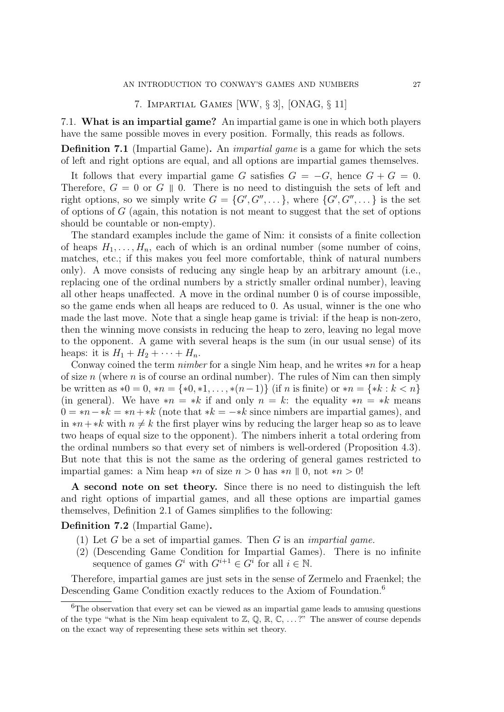### 7. Impartial Games [WW, § 3], [ONAG, § 11]

7.1. What is an impartial game? An impartial game is one in which both players have the same possible moves in every position. Formally, this reads as follows.

Definition 7.1 (Impartial Game). An impartial game is a game for which the sets of left and right options are equal, and all options are impartial games themselves.

It follows that every impartial game G satisfies  $G = -G$ , hence  $G + G = 0$ . Therefore,  $G = 0$  or  $G \parallel 0$ . There is no need to distinguish the sets of left and right options, so we simply write  $G = \{G', G'', \dots\}$ , where  $\{G', G'', \dots\}$  is the set of options of G (again, this notation is not meant to suggest that the set of options should be countable or non-empty).

The standard examples include the game of Nim: it consists of a finite collection of heaps  $H_1, \ldots, H_n$ , each of which is an ordinal number (some number of coins, matches, etc.; if this makes you feel more comfortable, think of natural numbers only). A move consists of reducing any single heap by an arbitrary amount (i.e., replacing one of the ordinal numbers by a strictly smaller ordinal number), leaving all other heaps unaffected. A move in the ordinal number 0 is of course impossible, so the game ends when all heaps are reduced to 0. As usual, winner is the one who made the last move. Note that a single heap game is trivial: if the heap is non-zero, then the winning move consists in reducing the heap to zero, leaving no legal move to the opponent. A game with several heaps is the sum (in our usual sense) of its heaps: it is  $H_1 + H_2 + \cdots + H_n$ .

Conway coined the term nimber for a single Nim heap, and he writes ∗n for a heap of size n (where n is of course an ordinal number). The rules of Nim can then simply be written as  $*0 = 0$ ,  $* n = \{ *0, *1, \ldots, * (n-1) \}$  (if n is finite) or  $* n = \{ *k : k < n \}$ (in general). We have  $*n = *k$  if and only  $n = k$ : the equality  $*n = *k$  means  $0 = *n - *k = *n + *k$  (note that  $*k = -*k$  since nimbers are impartial games), and in  $*n+*k$  with  $n \neq k$  the first player wins by reducing the larger heap so as to leave two heaps of equal size to the opponent). The nimbers inherit a total ordering from the ordinal numbers so that every set of nimbers is well-ordered (Proposition 4.3). But note that this is not the same as the ordering of general games restricted to impartial games: a Nim heap  $*n$  of size  $n > 0$  has  $*n \mid 0$ , not  $*n > 0!$ 

A second note on set theory. Since there is no need to distinguish the left and right options of impartial games, and all these options are impartial games themselves, Definition 2.1 of Games simplifies to the following:

#### Definition 7.2 (Impartial Game).

- (1) Let  $G$  be a set of impartial games. Then  $G$  is an *impartial game*.
- (2) (Descending Game Condition for Impartial Games). There is no infinite sequence of games  $G^i$  with  $G^{i+1} \in G^i$  for all  $i \in \mathbb{N}$ .

Therefore, impartial games are just sets in the sense of Zermelo and Fraenkel; the Descending Game Condition exactly reduces to the Axiom of Foundation.<sup>6</sup>

<sup>&</sup>lt;sup>6</sup>The observation that every set can be viewed as an impartial game leads to amusing questions of the type "what is the Nim heap equivalent to  $\mathbb{Z}, \mathbb{Q}, \mathbb{R}, \mathbb{C}, \ldots$ " The answer of course depends on the exact way of representing these sets within set theory.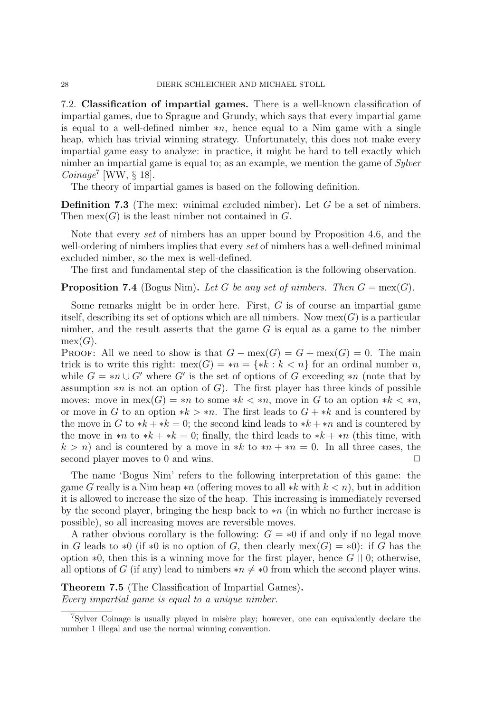7.2. Classification of impartial games. There is a well-known classification of impartial games, due to Sprague and Grundy, which says that every impartial game is equal to a well-defined nimber  $*n$ , hence equal to a Nim game with a single heap, which has trivial winning strategy. Unfortunately, this does not make every impartial game easy to analyze: in practice, it might be hard to tell exactly which nimber an impartial game is equal to; as an example, we mention the game of Sylver Coinage<sup>7</sup> [WW,  $\S$  18].

The theory of impartial games is based on the following definition.

**Definition 7.3** (The mex: minimal excluded nimber). Let G be a set of nimbers. Then  $\text{mex}(G)$  is the least nimber not contained in G.

Note that every set of nimbers has an upper bound by Proposition 4.6, and the well-ordering of nimbers implies that every set of nimbers has a well-defined minimal excluded nimber, so the mex is well-defined.

The first and fundamental step of the classification is the following observation.

### **Proposition 7.4** (Bogus Nim). Let G be any set of nimbers. Then  $G = \text{mex}(G)$ .

Some remarks might be in order here. First,  $G$  is of course an impartial game itself, describing its set of options which are all nimbers. Now  $\text{mex}(G)$  is a particular nimber, and the result asserts that the game  $G$  is equal as a game to the nimber  $mex(G).$ 

PROOF: All we need to show is that  $G - \max(G) = G + \max(G) = 0$ . The main trick is to write this right:  $\max(G) = *n = \{ *k : k < n \}$  for an ordinal number n, while  $G = *n \cup G'$  where G' is the set of options of G exceeding \*n (note that by assumption  $*n$  is not an option of G). The first player has three kinds of possible moves: move in  $\max(G) = *n$  to some  $*k < *n$ , move in G to an option  $*k < *n$ , or move in G to an option  $* k > * n$ . The first leads to  $G + * k$  and is countered by the move in G to  $*k + *k = 0$ ; the second kind leads to  $*k + *n$  and is countered by the move in  $*n$  to  $*k +*k = 0$ ; finally, the third leads to  $*k + sn$  (this time, with  $k > n$ ) and is countered by a move in \*k to \*n + \*n = 0. In all three cases, the second player moves to 0 and wins.  $\Box$ 

The name 'Bogus Nim' refers to the following interpretation of this game: the game G really is a Nim heap  $*n$  (offering moves to all  $*k$  with  $k < n$ ), but in addition it is allowed to increase the size of the heap. This increasing is immediately reversed by the second player, bringing the heap back to  $*n$  (in which no further increase is possible), so all increasing moves are reversible moves.

A rather obvious corollary is the following:  $G = *0$  if and only if no legal move in G leads to  $*0$  (if  $*0$  is no option of G, then clearly mex(G) =  $*0$ ): if G has the option  $*0$ , then this is a winning move for the first player, hence  $G \parallel 0$ ; otherwise, all options of G (if any) lead to nimbers  $*n \neq *0$  from which the second player wins.

Theorem 7.5 (The Classification of Impartial Games). Every impartial game is equal to a unique nimber.

 $7$ Sylver Coinage is usually played in misère play; however, one can equivalently declare the number 1 illegal and use the normal winning convention.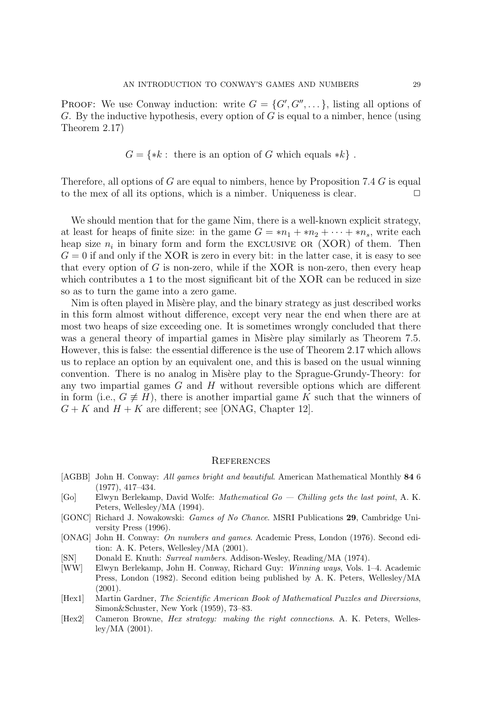**PROOF:** We use Conway induction: write  $G = \{G', G'', \dots\}$ , listing all options of G. By the inductive hypothesis, every option of G is equal to a nimber, hence (using Theorem 2.17)

$$
G = \{ *k : \text{ there is an option of } G \text{ which equals } *k \} .
$$

Therefore, all options of G are equal to nimbers, hence by Proposition 7.4 G is equal to the mex of all its options, which is a nimber. Uniqueness is clear.  $\Box$ 

We should mention that for the game Nim, there is a well-known explicit strategy, at least for heaps of finite size: in the game  $G = *n_1 + *n_2 + \cdots + *n_s$ , write each heap size  $n_i$  in binary form and form the EXCLUSIVE OR (XOR) of them. Then  $G = 0$  if and only if the XOR is zero in every bit: in the latter case, it is easy to see that every option of  $G$  is non-zero, while if the XOR is non-zero, then every heap which contributes a 1 to the most significant bit of the XOR can be reduced in size so as to turn the game into a zero game.

Nim is often played in Misère play, and the binary strategy as just described works in this form almost without difference, except very near the end when there are at most two heaps of size exceeding one. It is sometimes wrongly concluded that there was a general theory of impartial games in Misère play similarly as Theorem 7.5. However, this is false: the essential difference is the use of Theorem 2.17 which allows us to replace an option by an equivalent one, and this is based on the usual winning convention. There is no analog in Misère play to the Sprague-Grundy-Theory: for any two impartial games  $G$  and  $H$  without reversible options which are different in form (i.e.,  $G \neq H$ ), there is another impartial game K such that the winners of  $G + K$  and  $H + K$  are different; see [ONAG, Chapter 12].

#### **REFERENCES**

- [AGBB] John H. Conway: All games bright and beautiful. American Mathematical Monthly 84 6 (1977), 417–434.
- [Go] Elwyn Berlekamp, David Wolfe: Mathematical Go Chilling gets the last point, A. K. Peters, Wellesley/MA (1994).
- [GONC] Richard J. Nowakowski: Games of No Chance. MSRI Publications 29, Cambridge University Press (1996).
- [ONAG] John H. Conway: On numbers and games. Academic Press, London (1976). Second edition: A. K. Peters, Wellesley/MA (2001).
- [SN] Donald E. Knuth: Surreal numbers. Addison-Wesley, Reading/MA (1974).
- [WW] Elwyn Berlekamp, John H. Conway, Richard Guy: Winning ways, Vols. 1–4. Academic Press, London (1982). Second edition being published by A. K. Peters, Wellesley/MA (2001).
- [Hex1] Martin Gardner, The Scientific American Book of Mathematical Puzzles and Diversions, Simon&Schuster, New York (1959), 73–83.
- [Hex2] Cameron Browne, Hex strategy: making the right connections. A. K. Peters, Wellesley/MA (2001).